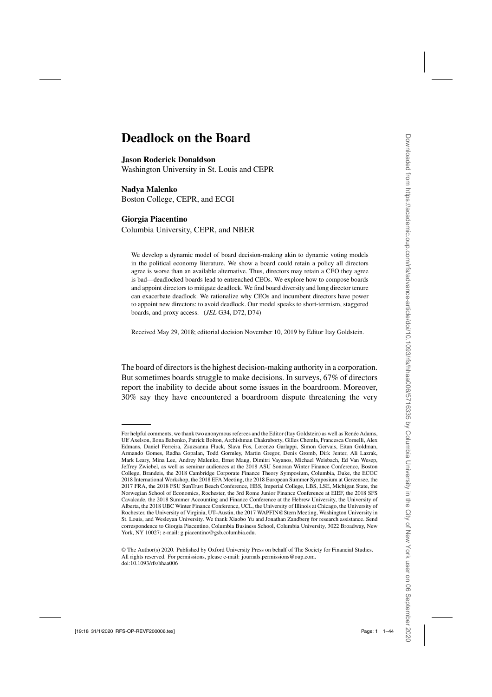# **Deadlock on the Board**

**Jason Roderick Donaldson**

Washington University in St. Louis and CEPR

### **Nadya Malenko**

Boston College, CEPR, and ECGI

# **Giorgia Piacentino**

Columbia University, CEPR, and NBER

We develop a dynamic model of board decision-making akin to dynamic voting models in the political economy literature. We show a board could retain a policy all directors agree is worse than an available alternative. Thus, directors may retain a CEO they agree is bad—deadlocked boards lead to entrenched CEOs. We explore how to compose boards and appoint directors to mitigate deadlock. We find board diversity and long director tenure can exacerbate deadlock. We rationalize why CEOs and incumbent directors have power to appoint new directors: to avoid deadlock. Our model speaks to short-termism, staggered boards, and proxy access. (*JEL* G34, D72, D74)

Received May 29, 2018; editorial decision November 10, 2019 by Editor Itay Goldstein.

The board of directors is the highest decision-making authority in a corporation. But sometimes boards struggle to make decisions. In surveys, 67% of directors report the inability to decide about some issues in the boardroom. Moreover, 30% say they have encountered a boardroom dispute threatening the very

For helpful comments, we thank two anonymous referees and the Editor (Itay Goldstein) as well as Renée Adams, Ulf Axelson, Ilona Babenko, Patrick Bolton, Archishman Chakraborty, Gilles Chemla, Francesca Cornelli, Alex Edmans, Daniel Ferreira, Zsuzsanna Fluck, Slava Fos, Lorenzo Garlappi, Simon Gervais, Eitan Goldman, Armando Gomes, Radha Gopalan, Todd Gormley, Martin Gregor, Denis Gromb, Dirk Jenter, Ali Lazrak, Mark Leary, Mina Lee, Andrey Malenko, Ernst Maug, Dimitri Vayanos, Michael Weisbach, Ed Van Wesep, Jeffrey Zwiebel, as well as seminar audiences at the 2018 ASU Sonoran Winter Finance Conference, Boston College, Brandeis, the 2018 Cambridge Corporate Finance Theory Symposium, Columbia, Duke, the ECGC 2018 International Workshop, the 2018 EFA Meeting, the 2018 European Summer Symposium at Gerzensee, the 2017 FRA, the 2018 FSU SunTrust Beach Conference, HBS, Imperial College, LBS, LSE, Michigan State, the Norwegian School of Economics, Rochester, the 3rd Rome Junior Finance Conference at EIEF, the 2018 SFS Cavalcade, the 2018 Summer Accounting and Finance Conference at the Hebrew University, the University of Alberta, the 2018 UBC Winter Finance Conference, UCL, the University of Illinois at Chicago, the University of Rochester, the University of Virginia, UT–Austin, the 2017 WAPFIN@Stern Meeting, Washington University in St. Louis, and Wesleyan University. We thank Xiaobo Yu and Jonathan Zandberg for research assistance. Send correspondence to Giorgia Piacentino, Columbia Business School, Columbia University, 3022 Broadway, New York, NY 10027; e-mail: g.piacentino@gsb.columbia.edu.

<sup>©</sup> The Author(s) 2020. Published by Oxford University Press on behalf of The Society for Financial Studies. All rights reserved. For permissions, please e-mail: journals.permissions@oup.com. doi:10.1093/rfs/hhaa006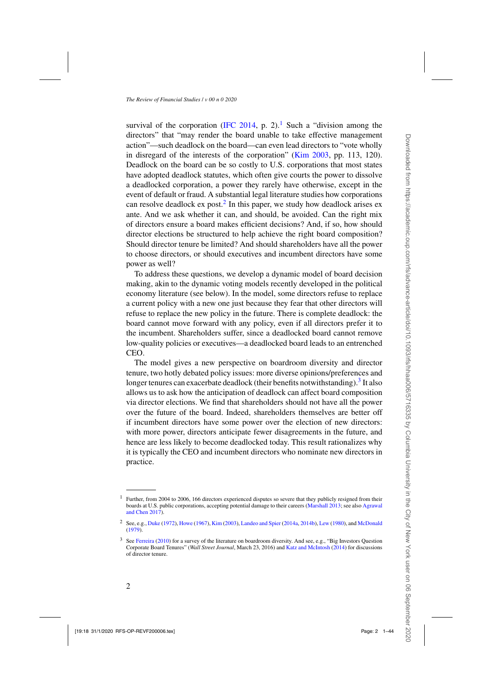survival of the corporation [\(IFC 2014](#page-42-0), p. 2).<sup>1</sup> Such a "division among the directors" that "may render the board unable to take effective management action"—such deadlock on the board—can even lead directors to "vote wholly in disregard of the interests of the corporation" [\(Kim 2003,](#page-42-0) pp. 113, 120). Deadlock on the board can be so costly to U.S. corporations that most states have adopted deadlock statutes, which often give courts the power to dissolve a deadlocked corporation, a power they rarely have otherwise, except in the event of default or fraud. A substantial legal literature studies how corporations can resolve deadlock ex post.<sup>2</sup> In this paper, we study how deadlock arises ex ante. And we ask whether it can, and should, be avoided. Can the right mix of directors ensure a board makes efficient decisions? And, if so, how should director elections be structured to help achieve the right board composition? Should director tenure be limited? And should shareholders have all the power to choose directors, or should executives and incumbent directors have some power as well?

To address these questions, we develop a dynamic model of board decision making, akin to the dynamic voting models recently developed in the political economy literature (see below). In the model, some directors refuse to replace a current policy with a new one just because they fear that other directors will refuse to replace the new policy in the future. There is complete deadlock: the board cannot move forward with any policy, even if all directors prefer it to the incumbent. Shareholders suffer, since a deadlocked board cannot remove low-quality policies or executives—a deadlocked board leads to an entrenched CEO.

The model gives a new perspective on boardroom diversity and director tenure, two hotly debated policy issues: more diverse opinions/preferences and longer tenures can exacerbate deadlock (their benefits notwithstanding).<sup>3</sup> It also allows us to ask how the anticipation of deadlock can affect board composition via director elections. We find that shareholders should not have all the power over the future of the board. Indeed, shareholders themselves are better off if incumbent directors have some power over the election of new directors: with more power, directors anticipate fewer disagreements in the future, and hence are less likely to become deadlocked today. This result rationalizes why it is typically the CEO and incumbent directors who nominate new directors in practice.

 $1$  Further, from 2004 to 2006, 166 directors experienced disputes so severe that they publicly resigned from their boards at [U.S. public corporations, accepting potential damage to their careers](#page-40-0) [\(Marshall 2013](#page-42-0)[; see also](#page-40-0) Agrawal and Chen [2017\)](#page-40-0).

<sup>2</sup> See, e.g., [Duke](#page-41-0) [\(1972](#page-41-0)), [Howe](#page-42-0) [\(1967\)](#page-42-0), [Kim](#page-42-0) [\(2003\)](#page-42-0), [Landeo and Spier](#page-42-0) [\(2014a](#page-42-0), [2014b\)](#page-42-0), [Lew](#page-42-0) [\(1980\)](#page-42-0), and [McDonald](#page-42-0) [\(1979\)](#page-42-0).

<sup>3</sup> See [Ferreira](#page-41-0) [\(2010](#page-41-0)) for a survey of the literature on boardroom diversity. And see, e.g., "Big Investors Question Corporate Board Tenures" (*Wall Street Journal*, March 23, 2016) and [Katz and McIntosh](#page-42-0) [\(2014\)](#page-42-0) for discussions of director tenure.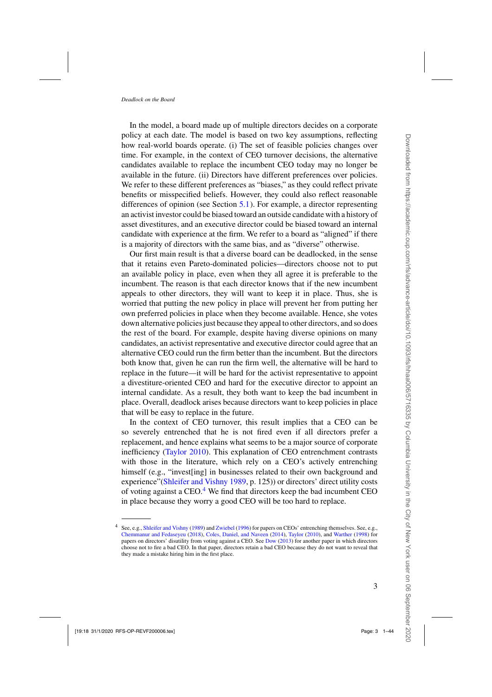In the model, a board made up of multiple directors decides on a corporate policy at each date. The model is based on two key assumptions, reflecting how real-world boards operate. (i) The set of feasible policies changes over time. For example, in the context of CEO turnover decisions, the alternative candidates available to replace the incumbent CEO today may no longer be available in the future. (ii) Directors have different preferences over policies. We refer to these different preferences as "biases," as they could reflect private benefits or misspecified beliefs. However, they could also reflect reasonable differences of opinion (see Section [5.1\)](#page-17-0). For example, a director representing an activist investor could be biased toward an outside candidate with a history of asset divestitures, and an executive director could be biased toward an internal candidate with experience at the firm. We refer to a board as "aligned" if there is a majority of directors with the same bias, and as "diverse" otherwise.

Our first main result is that a diverse board can be deadlocked, in the sense that it retains even Pareto-dominated policies—directors choose not to put an available policy in place, even when they all agree it is preferable to the incumbent. The reason is that each director knows that if the new incumbent appeals to other directors, they will want to keep it in place. Thus, she is worried that putting the new policy in place will prevent her from putting her own preferred policies in place when they become available. Hence, she votes down alternative policies just because they appeal to other directors, and so does the rest of the board. For example, despite having diverse opinions on many candidates, an activist representative and executive director could agree that an alternative CEO could run the firm better than the incumbent. But the directors both know that, given he can run the firm well, the alternative will be hard to replace in the future—it will be hard for the activist representative to appoint a divestiture-oriented CEO and hard for the executive director to appoint an internal candidate. As a result, they both want to keep the bad incumbent in place. Overall, deadlock arises because directors want to keep policies in place that will be easy to replace in the future.

In the context of CEO turnover, this result implies that a CEO can be so severely entrenched that he is not fired even if all directors prefer a replacement, and hence explains what seems to be a major source of corporate inefficiency [\(Taylor 2010](#page-43-0)). This explanation of CEO entrenchment contrasts with those in the literature, which rely on a CEO's actively entrenching himself (e.g., "invest[ing] in businesses related to their own background and experience"[\(Shleifer and Vishny 1989,](#page-43-0) p. 125)) or directors' direct utility costs of voting against a  $CEO<sup>4</sup>$  We find that directors keep the bad incumbent CEO in place because they worry a good CEO will be too hard to replace.

See, e.g., [Shleifer and Vishny](#page-43-0) [\(1989\)](#page-43-0) and [Zwiebel](#page-43-0) [\(1996](#page-43-0)) for papers on CEOs' entrenching themselves. See, e.g., [Chemmanur and Fedaseyeu](#page-41-0) [\(2018](#page-41-0)), [Coles, Daniel, and Naveen](#page-41-0) [\(2014\)](#page-41-0), [Taylor](#page-43-0) [\(2010](#page-43-0)), and [Warther](#page-43-0) [\(1998](#page-43-0)) for papers on directors' disutility from voting against a CEO. See [Dow](#page-41-0) [\(2013](#page-41-0)) for another paper in which directors choose not to fire a bad CEO. In that paper, directors retain a bad CEO because they do not want to reveal that they made a mistake hiring him in the first place.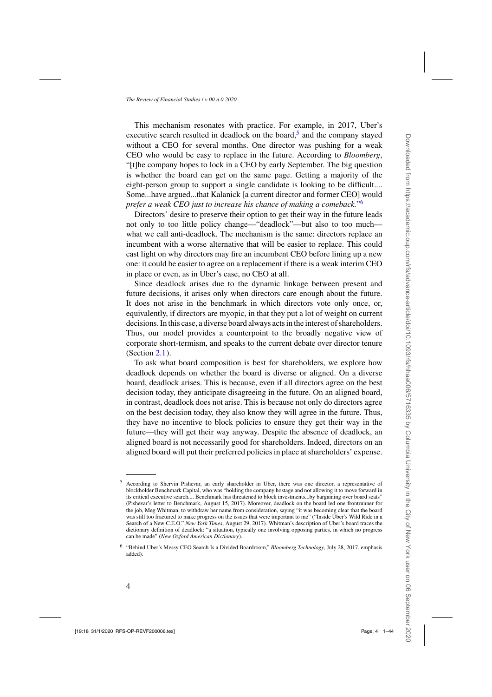This mechanism resonates with practice. For example, in 2017, Uber's executive search resulted in deadlock on the board, $5$  and the company stayed without a CEO for several months. One director was pushing for a weak CEO who would be easy to replace in the future. According to *Bloomberg*, "[t]he company hopes to lock in a CEO by early September. The big question is whether the board can get on the same page. Getting a majority of the eight-person group to support a single candidate is looking to be difficult.... Some...have argued...that Kalanick [a current director and former CEO] would *prefer a weak CEO just to increase his chance of making a comeback.*"6

Directors' desire to preserve their option to get their way in the future leads not only to too little policy change—"deadlock"—but also to too much what we call anti-deadlock. The mechanism is the same: directors replace an incumbent with a worse alternative that will be easier to replace. This could cast light on why directors may fire an incumbent CEO before lining up a new one: it could be easier to agree on a replacement if there is a weak interim CEO in place or even, as in Uber's case, no CEO at all.

Since deadlock arises due to the dynamic linkage between present and future decisions, it arises only when directors care enough about the future. It does not arise in the benchmark in which directors vote only once, or, equivalently, if directors are myopic, in that they put a lot of weight on current decisions. In this case, a diverse board always acts in the interest of shareholders. Thus, our model provides a counterpoint to the broadly negative view of corporate short-termism, and speaks to the current debate over director tenure (Section [2.1\)](#page-10-0).

To ask what board composition is best for shareholders, we explore how deadlock depends on whether the board is diverse or aligned. On a diverse board, deadlock arises. This is because, even if all directors agree on the best decision today, they anticipate disagreeing in the future. On an aligned board, in contrast, deadlock does not arise. This is because not only do directors agree on the best decision today, they also know they will agree in the future. Thus, they have no incentive to block policies to ensure they get their way in the future—they will get their way anyway. Despite the absence of deadlock, an aligned board is not necessarily good for shareholders. Indeed, directors on an aligned board will put their preferred policies in place at shareholders' expense.

<sup>5</sup> According to Shervin Pishevar, an early shareholder in Uber, there was one director, a representative of blockholder Benchmark Capital, who was "holding the company hostage and not allowing it to move forward in its critical executive search.... Benchmark has threatened to block investments...by bargaining over board seats" (Pishevar's letter to Benchmark, August 15, 2017). Moreover, deadlock on the board led one frontrunner for the job, Meg Whitman, to withdraw her name from consideration, saying "it was becoming clear that the board was still too fractured to make progress on the issues that were important to me" ("Inside Uber's Wild Ride in a Search of a New C.E.O." *New York Times*, August 29, 2017). Whitman's description of Uber's board traces the dictionary definition of deadlock: "a situation, typically one involving opposing parties, in which no progress can be made" (*New Oxford American Dictionary*).

<sup>6</sup> "Behind Uber's Messy CEO Search Is a Divided Boardroom," *Bloomberg Technology*, July 28, 2017, emphasis added).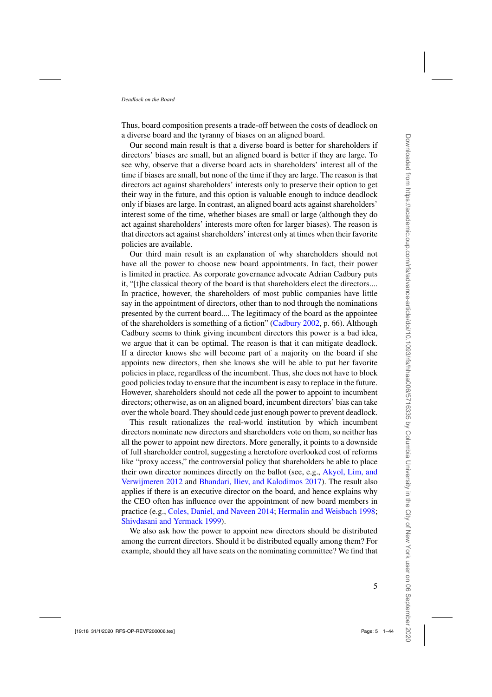Thus, board composition presents a trade-off between the costs of deadlock on a diverse board and the tyranny of biases on an aligned board.

Our second main result is that a diverse board is better for shareholders if directors' biases are small, but an aligned board is better if they are large. To see why, observe that a diverse board acts in shareholders' interest all of the time if biases are small, but none of the time if they are large. The reason is that directors act against shareholders' interests only to preserve their option to get their way in the future, and this option is valuable enough to induce deadlock only if biases are large. In contrast, an aligned board acts against shareholders' interest some of the time, whether biases are small or large (although they do act against shareholders' interests more often for larger biases). The reason is that directors act against shareholders' interest only at times when their favorite policies are available.

Our third main result is an explanation of why shareholders should not have all the power to choose new board appointments. In fact, their power is limited in practice. As corporate governance advocate Adrian Cadbury puts it, "[t]he classical theory of the board is that shareholders elect the directors.... In practice, however, the shareholders of most public companies have little say in the appointment of directors, other than to nod through the nominations presented by the current board.... The legitimacy of the board as the appointee of the shareholders is something of a fiction" [\(Cadbury 2002](#page-41-0), p. 66). Although Cadbury seems to think giving incumbent directors this power is a bad idea, we argue that it can be optimal. The reason is that it can mitigate deadlock. If a director knows she will become part of a majority on the board if she appoints new directors, then she knows she will be able to put her favorite policies in place, regardless of the incumbent. Thus, she does not have to block good policies today to ensure that the incumbent is easy to replace in the future. However, shareholders should not cede all the power to appoint to incumbent directors; otherwise, as on an aligned board, incumbent directors' bias can take over the whole board. They should cede just enough power to prevent deadlock.

This result rationalizes the real-world institution by which incumbent directors nominate new directors and shareholders vote on them, so neither has all the power to appoint new directors. More generally, it points to a downside of full shareholder control, suggesting a heretofore overlooked cost of reforms like "proxy access," the controversial policy that shareholders be able to place their own di[rector](#page-40-0) [nominees](#page-40-0) [directly](#page-40-0) [on](#page-40-0) [the](#page-40-0) [ballot](#page-40-0) [\(see,](#page-40-0) [e.g.,](#page-40-0) Akyol, Lim, and Verwijmeren [2012](#page-40-0) and [Bhandari, Iliev, and Kalodimos 2017\)](#page-41-0). The result also applies if there is an executive director on the board, and hence explains why the CEO often has influence over the appointment of new board members in practice (e.g., [Coles, Daniel, and Naveen 2014](#page-41-0); [Hermalin and Weisbach 1998;](#page-42-0) [Shivdasani and Yermack 1999\)](#page-42-0).

We also ask how the power to appoint new directors should be distributed among the current directors. Should it be distributed equally among them? For example, should they all have seats on the nominating committee? We find that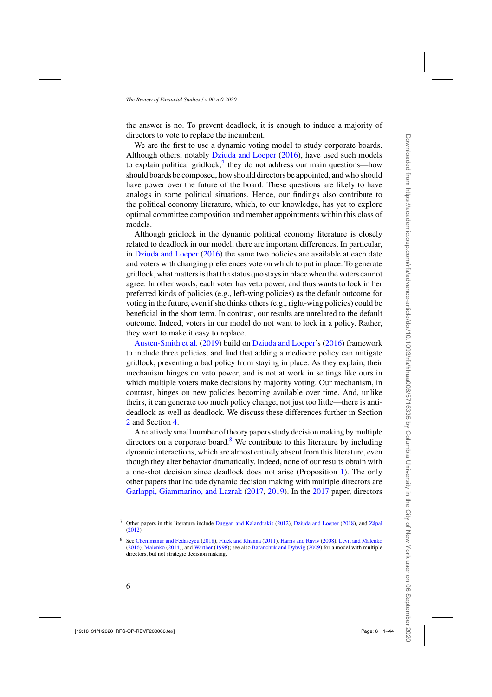the answer is no. To prevent deadlock, it is enough to induce a majority of directors to vote to replace the incumbent.

We are the first to use a dynamic voting model to study corporate boards. Although others, notably [Dziuda and Loeper](#page-41-0) [\(2016](#page-41-0)), have used such models to explain political gridlock,<sup>7</sup> they do not address our main questions—how should boards be composed, how should directors be appointed, and who should have power over the future of the board. These questions are likely to have analogs in some political situations. Hence, our findings also contribute to the political economy literature, which, to our knowledge, has yet to explore optimal committee composition and member appointments within this class of models.

Although gridlock in the dynamic political economy literature is closely related to deadlock in our model, there are important differences. In particular, in [Dziuda and Loeper](#page-41-0) [\(2016\)](#page-41-0) the same two policies are available at each date and voters with changing preferences vote on which to put in place. To generate gridlock, what matters is that the status quo stays in place when the voters cannot agree. In other words, each voter has veto power, and thus wants to lock in her preferred kinds of policies (e.g., left-wing policies) as the default outcome for voting in the future, even if she thinks others (e.g., right-wing policies) could be beneficial in the short term. In contrast, our results are unrelated to the default outcome. Indeed, voters in our model do not want to lock in a policy. Rather, [they](#page-40-0) [want](#page-40-0) [to](#page-40-0) [make](#page-40-0) [it](#page-40-0) [e](#page-40-0)asy to replace.

Austen-Smith et al. [\(2019\)](#page-40-0) build on [Dziuda and Loeper](#page-41-0)'s [\(2016](#page-41-0)) framework to include three policies, and find that adding a mediocre policy can mitigate gridlock, preventing a bad policy from staying in place. As they explain, their mechanism hinges on veto power, and is not at work in settings like ours in which multiple voters make decisions by majority voting. Our mechanism, in contrast, hinges on new policies becoming available over time. And, unlike theirs, it can generate too much policy change, not just too little—there is antideadlock as well as deadlock. We discuss these differences further in Section [2](#page-7-0) and Section [4.](#page-14-0)

A relatively small number of theory papers study decision making by multiple directors on a corporate board.<sup>8</sup> We contribute to this literature by including dynamic interactions, which are almost entirely absent from this literature, even though they alter behavior dramatically. Indeed, none of our results obtain with a one-shot decision since deadlock does not arise (Proposition [1\)](#page-8-0). The only other papers that include dynamic decision making with multiple directors are [Garlappi, Giammarino, and Lazrak](#page-41-0) [\(2017,](#page-41-0) [2019\)](#page-41-0). In the [2017](#page-41-0) paper, directors

<sup>7</sup> Other papers in this literature include [Duggan and Kalandrakis](#page-41-0) [\(2012](#page-41-0)), [Dziuda and Loeper](#page-41-0) [\(2018](#page-41-0)), and [Zápal](#page-43-0) [\(2012\)](#page-43-0).

<sup>8</sup> See [Chemmanur and Fedaseyeu](#page-41-0) [\(2018](#page-41-0)), [Fluck and Khanna](#page-41-0) [\(2011\)](#page-41-0), [Harris and Raviv](#page-41-0) [\(2008](#page-41-0)), [Levit and Malenko](#page-42-0) [\(2016\)](#page-42-0), [Malenko](#page-42-0) [\(2014](#page-42-0)), and [Warther](#page-43-0) [\(1998](#page-43-0)); see also [Baranchuk and Dybvig](#page-40-0) [\(2009](#page-40-0)) for a model with multiple directors, but not strategic decision making.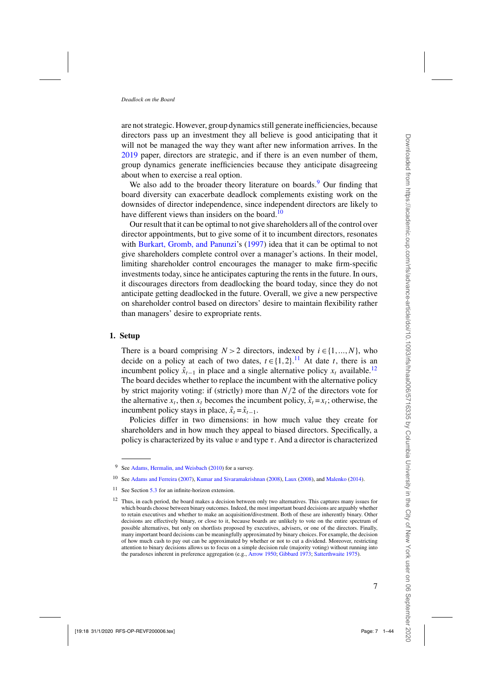are not strategic. However, group dynamics still generate inefficiencies, because directors pass up an investment they all believe is good anticipating that it will not be managed the way they want after new information arrives. In the [2019](#page-41-0) paper, directors are strategic, and if there is an even number of them, group dynamics generate inefficiencies because they anticipate disagreeing about when to exercise a real option.

We also add to the broader theory literature on boards.<sup>9</sup> Our finding that board diversity can exacerbate deadlock complements existing work on the downsides of director independence, since independent directors are likely to have different views than insiders on the board.<sup>10</sup>

Our result that it can be optimal to not give shareholders all of the control over director appointments, but to give some of it to incumbent directors, resonates with [Burkart, Gromb, and Panunzi](#page-41-0)'s [\(1997\)](#page-41-0) idea that it can be optimal to not give shareholders complete control over a manager's actions. In their model, limiting shareholder control encourages the manager to make firm-specific investments today, since he anticipates capturing the rents in the future. In ours, it discourages directors from deadlocking the board today, since they do not anticipate getting deadlocked in the future. Overall, we give a new perspective on shareholder control based on directors' desire to maintain flexibility rather than managers' desire to expropriate rents.

### **1. Setup**

There is a board comprising  $N > 2$  directors, indexed by  $i \in \{1, ..., N\}$ , who decide on a policy at each of two dates,  $t \in \{1,2\}$ .<sup>11</sup> At date t, there is an incumbent policy  $\hat{x}_{t-1}$  in place and a single alternative policy  $x_t$  available.<sup>12</sup> The board decides whether to replace the incumbent with the alternative policy by strict majority voting: if (strictly) more than  $N/2$  of the directors vote for the alternative  $x_t$ , then  $x_t$  becomes the incumbent policy,  $\hat{x}_t = x_t$ ; otherwise, the incumbent policy stays in place,  $\hat{x}_t = \hat{x}_{t-1}$ .

Policies differ in two dimensions: in how much value they create for shareholders and in how much they appeal to biased directors. Specifically, a policy is characterized by its value v and type  $\tau$ . And a director is characterized

<sup>9</sup> See [Adams, Hermalin, and Weisbach](#page-40-0) [\(2010](#page-40-0)) for a survey.

<sup>10</sup> See [Adams and Ferreira](#page-40-0) [\(2007](#page-40-0)), [Kumar and Sivaramakrishnan](#page-42-0) [\(2008\)](#page-42-0), [Laux](#page-42-0) [\(2008\)](#page-42-0), and [Malenko](#page-42-0) [\(2014](#page-42-0)).

<sup>&</sup>lt;sup>11</sup> See Section [5.3](#page-20-0) for an infinite-horizon extension.

<sup>&</sup>lt;sup>12</sup> Thus, in each period, the board makes a decision between only two alternatives. This captures many issues for which boards choose between binary outcomes. Indeed, the most important board decisions are arguably whether to retain executives and whether to make an acquisition/divestment. Both of these are inherently binary. Other decisions are effectively binary, or close to it, because boards are unlikely to vote on the entire spectrum of possible alternatives, but only on shortlists proposed by executives, advisers, or one of the directors. Finally, many important board decisions can be meaningfully approximated by binary choices. For example, the decision of how much cash to pay out can be approximated by whether or not to cut a dividend. Moreover, restricting attention to binary decisions allows us to focus on a simple decision rule (majority voting) without running into the paradoxes inherent in preference aggregation (e.g., [Arrow 1950](#page-40-0); [Gibbard 1973](#page-41-0); [Satterthwaite 1975](#page-42-0)).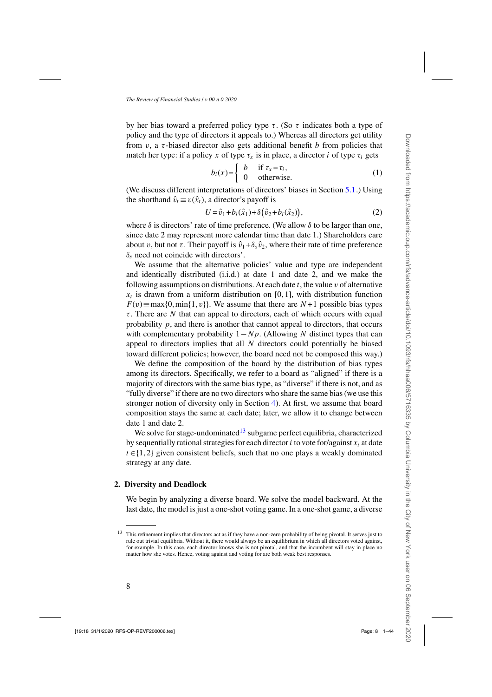<span id="page-7-0"></span>by her bias toward a preferred policy type  $\tau$ . (So  $\tau$  indicates both a type of policy and the type of directors it appeals to.) Whereas all directors get utility from  $v$ , a  $\tau$ -biased director also gets additional benefit b from policies that match her type: if a policy x of type  $\tau_x$  is in place, a director i of type  $\tau_i$  gets

$$
b_i(x) = \begin{cases} b & \text{if } \tau_x = \tau_i, \\ 0 & \text{otherwise.} \end{cases}
$$
 (1)

(We discuss different interpretations of directors' biases in Section [5.1.](#page-17-0)) Using the shorthand  $\hat{v}_t \equiv v(\hat{x}_t)$ , a director's payoff is

$$
U = \hat{v}_1 + b_i(\hat{x}_1) + \delta(\hat{v}_2 + b_i(\hat{x}_2)),
$$
 (2)

where  $\delta$  is directors' rate of time preference. (We allow  $\delta$  to be larger than one, since date 2 may represent more calendar time than date 1.) Shareholders care about v, but not  $\tau$ . Their payoff is  $\hat{v}_1 + \delta_s \hat{v}_2$ , where their rate of time preference  $\delta_s$  need not coincide with directors'.

We assume that the alternative policies' value and type are independent and identically distributed (i.i.d.) at date 1 and date 2, and we make the following assumptions on distributions. At each date  $t$ , the value  $v$  of alternative  $x_t$  is drawn from a uniform distribution on [0,1], with distribution function  $F(v) \equiv \max\{0, \min\{1, v\}\}\$ . We assume that there are  $N+1$  possible bias types  $\tau$ . There are N that can appeal to directors, each of which occurs with equal probability  $p$ , and there is another that cannot appeal to directors, that occurs with complementary probability  $1 - Np$ . (Allowing N distinct types that can appeal to directors implies that all  $N$  directors could potentially be biased toward different policies; however, the board need not be composed this way.)

We define the composition of the board by the distribution of bias types among its directors. Specifically, we refer to a board as "aligned" if there is a majority of directors with the same bias type, as "diverse" if there is not, and as "fully diverse" if there are no two directors who share the same bias (we use this stronger notion of diversity only in Section [4\)](#page-14-0). At first, we assume that board composition stays the same at each date; later, we allow it to change between date 1 and date 2.

We solve for stage-undominated<sup>13</sup> subgame perfect equilibria, characterized by sequentially rational strategies for each director i to vote for/against  $x_t$  at date  $t \in \{1,2\}$  given consistent beliefs, such that no one plays a weakly dominated strategy at any date.

### **2. Diversity and Deadlock**

We begin by analyzing a diverse board. We solve the model backward. At the last date, the model is just a one-shot voting game. In a one-shot game, a diverse

 $13$  This refinement implies that directors act as if they have a non-zero probability of being pivotal. It serves just to rule out trivial equilibria. Without it, there would always be an equilibrium in which all directors voted against, for example. In this case, each director knows she is not pivotal, and that the incumbent will stay in place no matter how she votes. Hence, voting against and voting for are both weak best responses.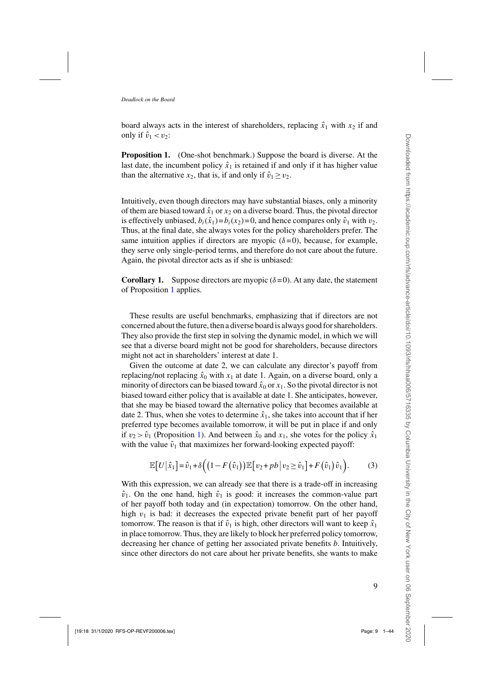<span id="page-8-0"></span>board always acts in the interest of shareholders, replacing  $\hat{x}_1$  with  $x_2$  if and only if  $\hat{v}_1 < v_2$ :

**Proposition 1.** (One-shot benchmark.) Suppose the board is diverse. At the last date, the incumbent policy  $\hat{x}_1$  is retained if and only if it has higher value than the alternative  $x_2$ , that is, if and only if  $\hat{v}_1 \ge v_2$ .

Intuitively, even though directors may have substantial biases, only a minority of them are biased toward  $\hat{x}_1$  or  $x_2$  on a diverse board. Thus, the pivotal director is effectively unbiased,  $b_i(\hat{x}_1) = b_i(x_2) = 0$ , and hence compares only  $\hat{v}_1$  with  $v_2$ . Thus, at the final date, she always votes for the policy shareholders prefer. The same intuition applies if directors are myopic  $(\delta = 0)$ , because, for example, they serve only single-period terms, and therefore do not care about the future. Again, the pivotal director acts as if she is unbiased:

**Corollary 1.** Suppose directors are myopic  $(\delta = 0)$ . At any date, the statement of Proposition 1 applies.

These results are useful benchmarks, emphasizing that if directors are not concerned about the future, then a diverse board is always good for shareholders. They also provide the first step in solving the dynamic model, in which we will see that a diverse board might not be good for shareholders, because directors might not act in shareholders' interest at date 1.

Given the outcome at date 2, we can calculate any director's payoff from replacing/not replacing  $\hat{x}_0$  with  $x_1$  at date 1. Again, on a diverse board, only a minority of directors can be biased toward  $\hat{x}_0$  or  $x_1$ . So the pivotal director is not biased toward either policy that is available at date 1. She anticipates, however, that she may be biased toward the alternative policy that becomes available at date 2. Thus, when she votes to determine  $\hat{x}_1$ , she takes into account that if her preferred type becomes available tomorrow, it will be put in place if and only if  $v_2 > \hat{v}_1$  (Proposition 1). And between  $\hat{x}_0$  and  $x_1$ , she votes for the policy  $\hat{x}_1$ with the value  $\hat{v}_1$  that maximizes her forward-looking expected payoff:

$$
\mathbb{E}\big[U\big|\hat{x}_1\big]=\hat{v}_1+\delta\Big(\big(1-F\big(\hat{v}_1\big)\big)\mathbb{E}\big[v_2+pb\big|v_2\geq \hat{v}_1\big]+F\big(\hat{v}_1\big)\hat{v}_1\Big).
$$
 (3)

With this expression, we can already see that there is a trade-off in increasing  $\hat{v}_1$ . On the one hand, high  $\hat{v}_1$  is good: it increases the common-value part of her payoff both today and (in expectation) tomorrow. On the other hand, high  $v_1$  is bad: it decreases the expected private benefit part of her payoff tomorrow. The reason is that if  $\hat{v}_1$  is high, other directors will want to keep  $\hat{x}_1$ in place tomorrow. Thus, they are likely to block her preferred policy tomorrow, decreasing her chance of getting her associated private benefits *b*. Intuitively, since other directors do not care about her private benefits, she wants to make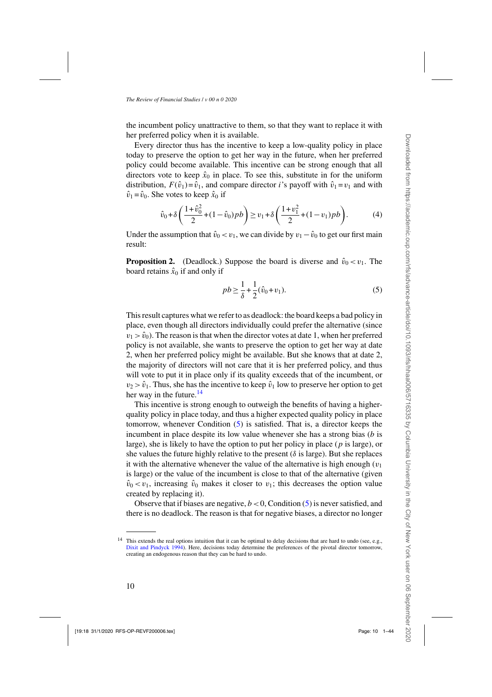<span id="page-9-0"></span>the incumbent policy unattractive to them, so that they want to replace it with her preferred policy when it is available.

Every director thus has the incentive to keep a low-quality policy in place today to preserve the option to get her way in the future, when her preferred policy could become available. This incentive can be strong enough that all directors vote to keep  $\hat{x}_0$  in place. To see this, substitute in for the uniform distribution,  $F(\hat{v}_1) = \hat{v}_1$ , and compare director *i*'s payoff with  $\hat{v}_1 = v_1$  and with  $\hat{v}_1 = \hat{v}_0$ . She votes to keep  $\hat{x}_0$  if

$$
\hat{v}_0 + \delta \left( \frac{1 + \hat{v}_0^2}{2} + (1 - \hat{v}_0) p b \right) \ge v_1 + \delta \left( \frac{1 + v_1^2}{2} + (1 - v_1) p b \right). \tag{4}
$$

Under the assumption that  $\hat{v}_0 < v_1$ , we can divide by  $v_1 - \hat{v}_0$  to get our first main result:

**Proposition 2.** (Deadlock.) Suppose the board is diverse and  $\hat{v}_0 < v_1$ . The board retains  $\hat{x}_0$  if and only if

$$
pb \geq \frac{1}{\delta} + \frac{1}{2}(\hat{v}_0 + v_1).
$$
 (5)

This result captures what we refer to as deadlock: the board keeps a bad policy in place, even though all directors individually could prefer the alternative (since  $v_1 > \hat{v}_0$ ). The reason is that when the director votes at date 1, when her preferred policy is not available, she wants to preserve the option to get her way at date 2, when her preferred policy might be available. But she knows that at date 2, the majority of directors will not care that it is her preferred policy, and thus will vote to put it in place only if its quality exceeds that of the incumbent, or  $v_2 > \hat{v}_1$ . Thus, she has the incentive to keep  $\hat{v}_1$  low to preserve her option to get her way in the future. $14$ 

This incentive is strong enough to outweigh the benefits of having a higherquality policy in place today, and thus a higher expected quality policy in place tomorrow, whenever Condition  $(5)$  is satisfied. That is, a director keeps the incumbent in place despite its low value whenever she has a strong bias  $(b \text{ is }$ large), she is likely to have the option to put her policy in place  $(p$  is large), or she values the future highly relative to the present ( $\delta$  is large). But she replaces it with the alternative whenever the value of the alternative is high enough  $(v_1)$ is large) or the value of the incumbent is close to that of the alternative (given  $\hat{v}_0 < v_1$ , increasing  $\hat{v}_0$  makes it closer to  $v_1$ ; this decreases the option value created by replacing it).

Observe that if biases are negative,  $b < 0$ , Condition (5) is never satisfied, and there is no deadlock. The reason is that for negative biases, a director no longer

<sup>&</sup>lt;sup>14</sup> This extends the real options intuition that it can be optimal to delay decisions that are hard to undo (see, e.g., [Dixit and Pindyck 1994](#page-41-0)). Here, decisions today determine the preferences of the pivotal director tomorrow, creating an endogenous reason that they can be hard to undo.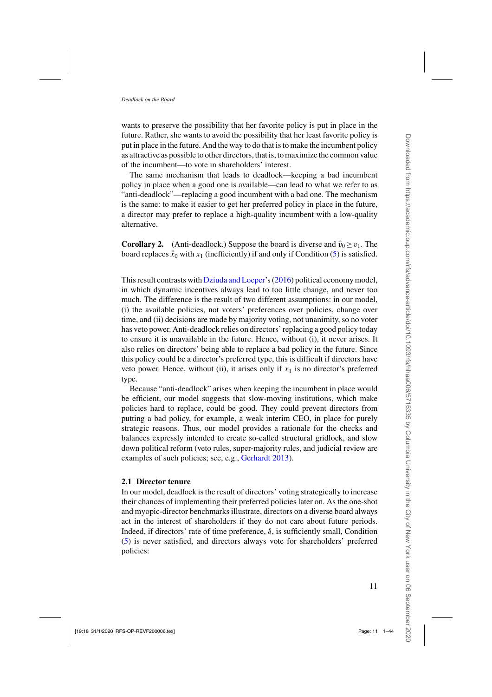<span id="page-10-0"></span>wants to preserve the possibility that her favorite policy is put in place in the future. Rather, she wants to avoid the possibility that her least favorite policy is put in place in the future. And the way to do that is to make the incumbent policy as attractive as possible to other directors, that is, to maximize the common value of the incumbent—to vote in shareholders' interest.

The same mechanism that leads to deadlock—keeping a bad incumbent policy in place when a good one is available—can lead to what we refer to as "anti-deadlock"—replacing a good incumbent with a bad one. The mechanism is the same: to make it easier to get her preferred policy in place in the future, a director may prefer to replace a high-quality incumbent with a low-quality alternative.

**Corollary 2.** (Anti-deadlock.) Suppose the board is diverse and  $\hat{v}_0 \ge v_1$ . The board replaces  $\hat{x}_0$  with  $x_1$  (inefficiently) if and only if Condition [\(5\)](#page-9-0) is satisfied.

This result contrasts with [Dziuda and Loeper'](#page-41-0)s [\(2016](#page-41-0)) political economy model, in which dynamic incentives always lead to too little change, and never too much. The difference is the result of two different assumptions: in our model, (i) the available policies, not voters' preferences over policies, change over time, and (ii) decisions are made by majority voting, not unanimity, so no voter has veto power. Anti-deadlock relies on directors' replacing a good policy today to ensure it is unavailable in the future. Hence, without (i), it never arises. It also relies on directors' being able to replace a bad policy in the future. Since this policy could be a director's preferred type, this is difficult if directors have veto power. Hence, without (ii), it arises only if  $x_1$  is no director's preferred type.

Because "anti-deadlock" arises when keeping the incumbent in place would be efficient, our model suggests that slow-moving institutions, which make policies hard to replace, could be good. They could prevent directors from putting a bad policy, for example, a weak interim CEO, in place for purely strategic reasons. Thus, our model provides a rationale for the checks and balances expressly intended to create so-called structural gridlock, and slow down political reform (veto rules, super-majority rules, and judicial review are examples of such policies; see, e.g., [Gerhardt 2013](#page-41-0)).

# **2.1 Director tenure**

In our model, deadlock is the result of directors' voting strategically to increase their chances of implementing their preferred policies later on. As the one-shot and myopic-director benchmarks illustrate, directors on a diverse board always act in the interest of shareholders if they do not care about future periods. Indeed, if directors' rate of time preference,  $\delta$ , is sufficiently small, Condition [\(5\)](#page-9-0) is never satisfied, and directors always vote for shareholders' preferred policies: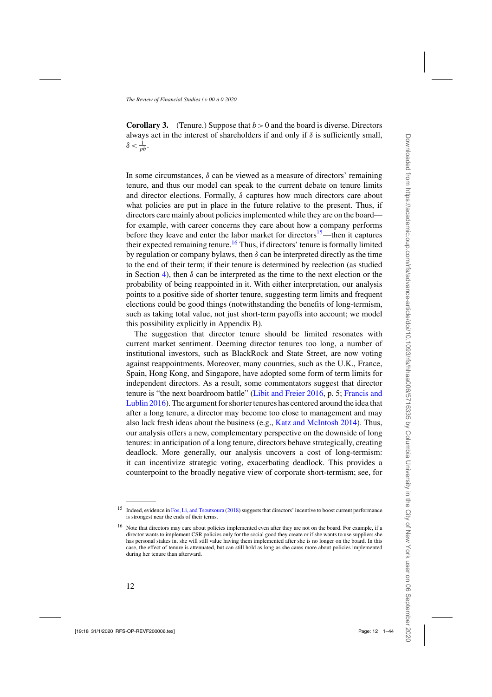**Corollary 3.** (Tenure.) Suppose that  $b > 0$  and the board is diverse. Directors always act in the interest of shareholders if and only if  $\delta$  is sufficiently small,  $\delta < \frac{1}{pb}$ .

In some circumstances,  $\delta$  can be viewed as a measure of directors' remaining tenure, and thus our model can speak to the current debate on tenure limits and director elections. Formally,  $\delta$  captures how much directors care about what policies are put in place in the future relative to the present. Thus, if directors care mainly about policies implemented while they are on the board for example, with career concerns they care about how a company performs before they leave and enter the labor market for directors<sup>15</sup>—then it captures their expected remaining tenure.<sup>16</sup> Thus, if directors' tenure is formally limited by regulation or company bylaws, then  $\delta$  can be interpreted directly as the time to the end of their term; if their tenure is determined by reelection (as studied in Section [4\)](#page-14-0), then  $\delta$  can be interpreted as the time to the next election or the probability of being reappointed in it. With either interpretation, our analysis points to a positive side of shorter tenure, suggesting term limits and frequent elections could be good things (notwithstanding the benefits of long-termism, such as taking total value, not just short-term payoffs into account; we model this possibility explicitly in Appendix B).

The suggestion that director tenure should be limited resonates with current market sentiment. Deeming director tenures too long, a number of institutional investors, such as BlackRock and State Street, are now voting against reappointments. Moreover, many countries, such as the U.K., France, Spain, Hong Kong, and Singapore, have adopted some form of term limits for independent directors. As a result, some commentators suggest that director tenure [is "the next boardroom battle"](#page-41-0) [\(Libit and Freier 2016](#page-42-0)[, p. 5;](#page-41-0) Francis and Lublin [2016\)](#page-41-0). The argument for shorter tenures has centered around the idea that after a long tenure, a director may become too close to management and may also lack fresh ideas about the business (e.g., [Katz and McIntosh 2014\)](#page-42-0). Thus, our analysis offers a new, complementary perspective on the downside of long tenures: in anticipation of a long tenure, directors behave strategically, creating deadlock. More generally, our analysis uncovers a cost of long-termism: it can incentivize strategic voting, exacerbating deadlock. This provides a counterpoint to the broadly negative view of corporate short-termism; see, for

<sup>&</sup>lt;sup>15</sup> Indeed, evidence in [Fos, Li, and Tsoutsoura](#page-41-0) [\(2018\)](#page-41-0) suggests that directors' incentive to boost current performance is strongest near the ends of their terms.

<sup>&</sup>lt;sup>16</sup> Note that directors may care about policies implemented even after they are not on the board. For example, if a director wants to implement CSR policies only for the social good they create or if she wants to use suppliers she has personal stakes in, she will still value having them implemented after she is no longer on the board. In this case, the effect of tenure is attenuated, but can still hold as long as she cares more about policies implemented during her tenure than afterward.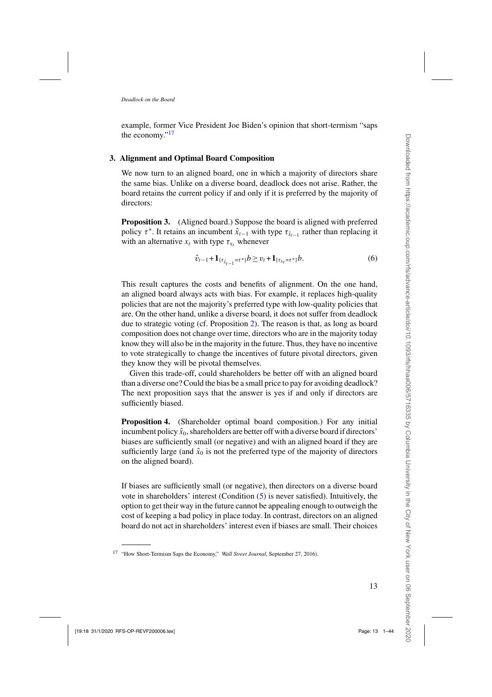<span id="page-12-0"></span>example, former Vice President Joe Biden's opinion that short-termism "saps the economy."<sup>17</sup>

# **3. Alignment and Optimal Board Composition**

We now turn to an aligned board, one in which a majority of directors share the same bias. Unlike on a diverse board, deadlock does not arise. Rather, the board retains the current policy if and only if it is preferred by the majority of directors:

**Proposition 3.** (Aligned board.) Suppose the board is aligned with preferred policy  $\tau^*$ . It retains an incumbent  $\hat{x}_{t-1}$  with type  $\tau_{\hat{x}_{t-1}}$  rather than replacing it with an alternative  $x_t$  with type  $\tau_{x_t}$  whenever

$$
\hat{v}_{t-1} + \mathbf{1}_{\{\tau_{\hat{x}_{t-1}} = \tau^*\}} b \ge v_t + \mathbf{1}_{\{\tau_{x_t} = \tau^*\}} b. \tag{6}
$$

This result captures the costs and benefits of alignment. On the one hand, an aligned board always acts with bias. For example, it replaces high-quality policies that are not the majority's preferred type with low-quality policies that are. On the other hand, unlike a diverse board, it does not suffer from deadlock due to strategic voting (cf. Proposition [2\)](#page-9-0). The reason is that, as long as board composition does not change over time, directors who are in the majority today know they will also be in the majority in the future. Thus, they have no incentive to vote strategically to change the incentives of future pivotal directors, given they know they will be pivotal themselves.

Given this trade-off, could shareholders be better off with an aligned board than a diverse one? Could the bias be a small price to pay for avoiding deadlock? The next proposition says that the answer is yes if and only if directors are sufficiently biased.

**Proposition 4.** (Shareholder optimal board composition.) For any initial incumbent policy  $\hat{x}_0$ , shareholders are better off with a diverse board if directors' biases are sufficiently small (or negative) and with an aligned board if they are sufficiently large (and  $\hat{x}_0$  is not the preferred type of the majority of directors on the aligned board).

If biases are sufficiently small (or negative), then directors on a diverse board vote in shareholders' interest (Condition [\(5\)](#page-9-0) is never satisfied). Intuitively, the option to get their way in the future cannot be appealing enough to outweigh the cost of keeping a bad policy in place today. In contrast, directors on an aligned board do not act in shareholders' interest even if biases are small. Their choices

<sup>17</sup> "How Short-Termism Saps the Economy," *Wall Street Journal*, September 27, 2016).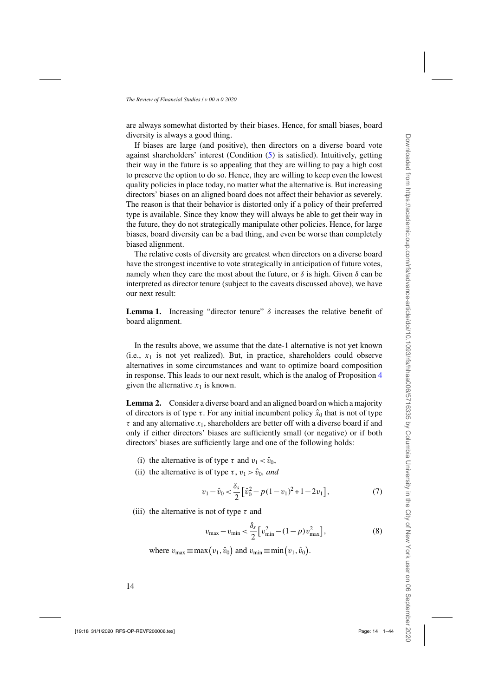<span id="page-13-0"></span>are always somewhat distorted by their biases. Hence, for small biases, board diversity is always a good thing.

If biases are large (and positive), then directors on a diverse board vote against shareholders' interest (Condition [\(5\)](#page-9-0) is satisfied). Intuitively, getting their way in the future is so appealing that they are willing to pay a high cost to preserve the option to do so. Hence, they are willing to keep even the lowest quality policies in place today, no matter what the alternative is. But increasing directors' biases on an aligned board does not affect their behavior as severely. The reason is that their behavior is distorted only if a policy of their preferred type is available. Since they know they will always be able to get their way in the future, they do not strategically manipulate other policies. Hence, for large biases, board diversity can be a bad thing, and even be worse than completely biased alignment.

The relative costs of diversity are greatest when directors on a diverse board have the strongest incentive to vote strategically in anticipation of future votes, namely when they care the most about the future, or  $\delta$  is high. Given  $\delta$  can be interpreted as director tenure (subject to the caveats discussed above), we have our next result:

**Lemma 1.** Increasing "director tenure"  $\delta$  increases the relative benefit of board alignment.

In the results above, we assume that the date-1 alternative is not yet known (i.e.,  $x_1$  is not yet realized). But, in practice, shareholders could observe alternatives in some circumstances and want to optimize board composition in response. This leads to our next result, which is the analog of Proposition [4](#page-12-0) given the alternative  $x_1$  is known.

**Lemma 2.** Consider a diverse board and an aligned board on which a majority of directors is of type  $\tau$ . For any initial incumbent policy  $\hat{x}_0$  that is not of type  $\tau$  and any alternative  $x_1$ , shareholders are better off with a diverse board if and only if either directors' biases are sufficiently small (or negative) or if both directors' biases are sufficiently large and one of the following holds:

- (i) the alternative is of type  $\tau$  and  $v_1 < \hat{v}_0$ ,
- (ii) the alternative is of type  $\tau$ ,  $v_1 > \hat{v}_0$ , and

$$
v_1 - \hat{v}_0 < \frac{\delta_s}{2} \left[ \hat{v}_0^2 - p(1 - v_1)^2 + 1 - 2v_1 \right],\tag{7}
$$

(iii) the alternative is not of type  $\tau$  and

$$
v_{\text{max}} - v_{\text{min}} < \frac{\delta_s}{2} \left[ v_{\text{min}}^2 - (1 - p) v_{\text{max}}^2 \right],\tag{8}
$$

where  $v_{\text{max}} \equiv \max(v_1, \hat{v}_0)$  and  $v_{\text{min}} \equiv \min(v_1, \hat{v}_0)$ .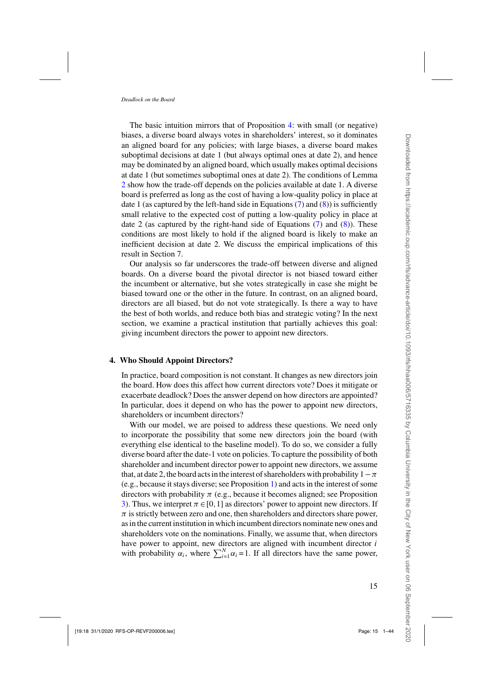<span id="page-14-0"></span>The basic intuition mirrors that of Proposition [4:](#page-12-0) with small (or negative) biases, a diverse board always votes in shareholders' interest, so it dominates an aligned board for any policies; with large biases, a diverse board makes suboptimal decisions at date 1 (but always optimal ones at date 2), and hence may be dominated by an aligned board, which usually makes optimal decisions at date 1 (but sometimes suboptimal ones at date 2). The conditions of Lemma [2](#page-13-0) show how the trade-off depends on the policies available at date 1. A diverse board is preferred as long as the cost of having a low-quality policy in place at date 1 (as captured by the left-hand side in Equations  $(7)$  and  $(8)$ ) is sufficiently small relative to the expected cost of putting a low-quality policy in place at date 2 (as captured by the right-hand side of Equations  $(7)$  and  $(8)$ ). These conditions are most likely to hold if the aligned board is likely to make an inefficient decision at date 2. We discuss the empirical implications of this result in Section 7.

Our analysis so far underscores the trade-off between diverse and aligned boards. On a diverse board the pivotal director is not biased toward either the incumbent or alternative, but she votes strategically in case she might be biased toward one or the other in the future. In contrast, on an aligned board, directors are all biased, but do not vote strategically. Is there a way to have the best of both worlds, and reduce both bias and strategic voting? In the next section, we examine a practical institution that partially achieves this goal: giving incumbent directors the power to appoint new directors.

# **4. Who Should Appoint Directors?**

In practice, board composition is not constant. It changes as new directors join the board. How does this affect how current directors vote? Does it mitigate or exacerbate deadlock? Does the answer depend on how directors are appointed? In particular, does it depend on who has the power to appoint new directors, shareholders or incumbent directors?

With our model, we are poised to address these questions. We need only to incorporate the possibility that some new directors join the board (with everything else identical to the baseline model). To do so, we consider a fully diverse board after the date-1 vote on policies. To capture the possibility of both shareholder and incumbent director power to appoint new directors, we assume that, at date 2, the board acts in the interest of shareholders with probability  $1-\pi$ (e.g., because it stays diverse; see Proposition [1\)](#page-8-0) and acts in the interest of some directors with probability  $\pi$  (e.g., because it becomes aligned; see Proposition [3\)](#page-12-0). Thus, we interpret  $\pi \in [0,1]$  as directors' power to appoint new directors. If  $\pi$  is strictly between zero and one, then shareholders and directors share power, as in the current institution in which incumbent directors nominate new ones and shareholders vote on the nominations. Finally, we assume that, when directors have power to appoint, new directors are aligned with incumbent director *i* with probability  $\alpha_i$ , where  $\sum_{i=1}^{N} \alpha_i = 1$ . If all directors have the same power,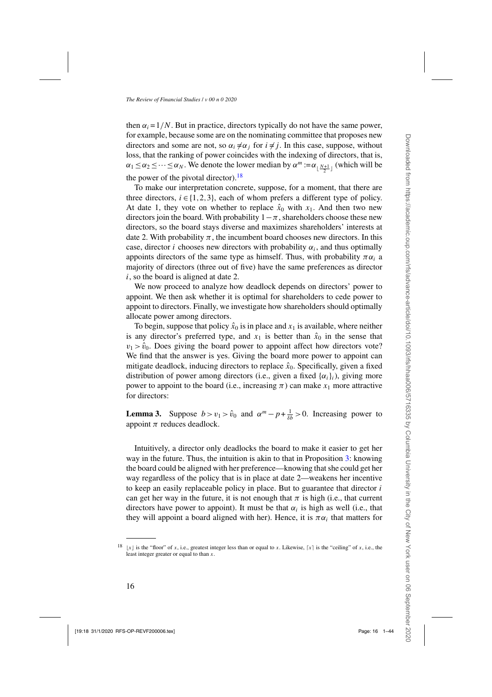<span id="page-15-0"></span>then  $\alpha_i = 1/N$ . But in practice, directors typically do not have the same power, for example, because some are on the nominating committee that proposes new directors and some are not, so  $\alpha_i \neq \alpha_j$  for  $i \neq j$ . In this case, suppose, without loss, that the ranking of power coincides with the indexing of directors, that is,  $\alpha_1 \leq \alpha_2 \leq \cdots \leq \alpha_N$ . We denote the lower median by  $\alpha^m := \alpha_{\lfloor \frac{N+1}{2} \rfloor}$  (which will be the power of the pivotal director).  $\frac{18}{18}$ 

To make our interpretation concrete, suppose, for a moment, that there are three directors,  $i \in \{1, 2, 3\}$ , each of whom prefers a different type of policy. At date 1, they vote on whether to replace  $\hat{x}_0$  with  $x_1$ . And then two new directors join the board. With probability  $1-\pi$ , shareholders choose these new directors, so the board stays diverse and maximizes shareholders' interests at date 2. With probability  $\pi$ , the incumbent board chooses new directors. In this case, director *i* chooses new directors with probability  $\alpha_i$ , and thus optimally appoints directors of the same type as himself. Thus, with probability  $\pi \alpha_i$  a majority of directors (three out of five) have the same preferences as director i, so the board is aligned at date 2.

We now proceed to analyze how deadlock depends on directors' power to appoint. We then ask whether it is optimal for shareholders to cede power to appoint to directors. Finally, we investigate how shareholders should optimally allocate power among directors.

To begin, suppose that policy  $\hat{x}_0$  is in place and  $x_1$  is available, where neither is any director's preferred type, and  $x_1$  is better than  $\hat{x}_0$  in the sense that  $v_1 > \hat{v}_0$ . Does giving the board power to appoint affect how directors vote? We find that the answer is yes. Giving the board more power to appoint can mitigate deadlock, inducing directors to replace  $\hat{x}_0$ . Specifically, given a fixed distribution of power among directors (i.e., given a fixed  $\{\alpha_i\}_i$ ), giving more power to appoint to the board (i.e., increasing  $\pi$ ) can make  $x_1$  more attractive for directors:

**Lemma 3.** Suppose  $b > v_1 > \hat{v}_0$  and  $\alpha^m - p + \frac{1}{\delta b} > 0$ . Increasing power to appoint  $\pi$  reduces deadlock.

Intuitively, a director only deadlocks the board to make it easier to get her way in the future. Thus, the intuition is akin to that in Proposition [3:](#page-12-0) knowing the board could be aligned with her preference—knowing that she could get her way regardless of the policy that is in place at date 2—weakens her incentive to keep an easily replaceable policy in place. But to guarantee that director  $i$ can get her way in the future, it is not enough that  $\pi$  is high (i.e., that current directors have power to appoint). It must be that  $\alpha_i$  is high as well (i.e., that they will appoint a board aligned with her). Hence, it is  $\pi \alpha_i$  that matters for

<sup>&</sup>lt;sup>18</sup>  $\lfloor x \rfloor$  is the "floor" of x, i.e., greatest integer less than or equal to x. Likewise,  $\lceil x \rceil$  is the "ceiling" of x, i.e., the least integer greater or equal to than  $x$ .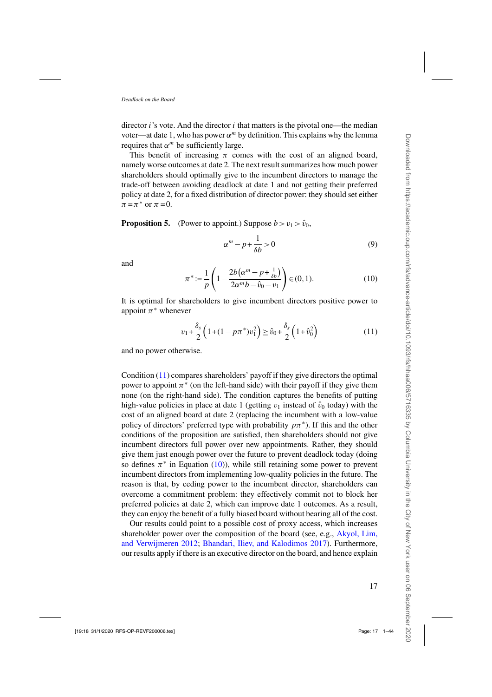<span id="page-16-0"></span>director  $i$ 's vote. And the director  $i$  that matters is the pivotal one—the median voter—at date 1, who has power  $\alpha^m$  by definition. This explains why the lemma requires that  $\alpha^m$  be sufficiently large.

This benefit of increasing  $\pi$  comes with the cost of an aligned board, namely worse outcomes at date 2. The next result summarizes how much power shareholders should optimally give to the incumbent directors to manage the trade-off between avoiding deadlock at date 1 and not getting their preferred policy at date 2, for a fixed distribution of director power: they should set either  $\pi = \pi^*$  or  $\pi = 0$ .

**Proposition 5.** (Power to appoint.) Suppose  $b > v_1 > \hat{v}_0$ ,

$$
\alpha^m - p + \frac{1}{\delta b} > 0 \tag{9}
$$

and

$$
\pi^* := \frac{1}{p} \left( 1 - \frac{2b(\alpha^m - p + \frac{1}{\delta b})}{2\alpha^m b - \hat{v}_0 - v_1} \right) \in (0, 1).
$$
 (10)

It is optimal for shareholders to give incumbent directors positive power to appoint  $\pi^*$  whenever

$$
v_1 + \frac{\delta_s}{2} \left( 1 + (1 - p\pi^*) v_1^2 \right) \ge \hat{v}_0 + \frac{\delta_s}{2} \left( 1 + \hat{v}_0^2 \right) \tag{11}
$$

and no power otherwise.

Condition (11) compares shareholders' payoff if they give directors the optimal power to appoint  $\pi^*$  (on the left-hand side) with their payoff if they give them none (on the right-hand side). The condition captures the benefits of putting high-value policies in place at date 1 (getting  $v_1$  instead of  $\hat{v}_0$  today) with the cost of an aligned board at date 2 (replacing the incumbent with a low-value policy of directors' preferred type with probability  $p\pi^*$ ). If this and the other conditions of the proposition are satisfied, then shareholders should not give incumbent directors full power over new appointments. Rather, they should give them just enough power over the future to prevent deadlock today (doing so defines  $\pi^*$  in Equation (10)), while still retaining some power to prevent incumbent directors from implementing low-quality policies in the future. The reason is that, by ceding power to the incumbent director, shareholders can overcome a commitment problem: they effectively commit not to block her preferred policies at date 2, which can improve date 1 outcomes. As a result, they can enjoy the benefit of a fully biased board without bearing all of the cost.

Our results could point to a possible cost of proxy access, which increases shareholder power over the composition of the board (see, e.g., Akyol, Lim, and Verwijmeren [2012](#page-40-0); [Bhandari, Iliev, and Kalodimos 2017](#page-41-0)). Furthermore, our results apply if there is an executive director on the board, and hence explain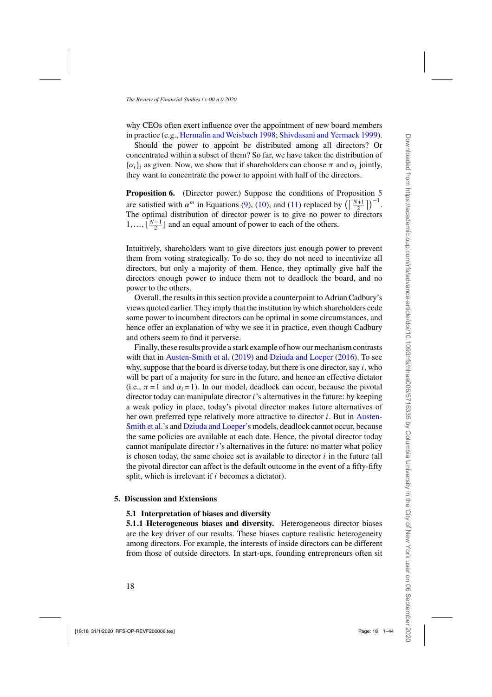<span id="page-17-0"></span>why CEOs often exert influence over the appointment of new board members in practice (e.g., [Hermalin and Weisbach 1998](#page-42-0); [Shivdasani and Yermack 1999\)](#page-42-0).

Should the power to appoint be distributed among all directors? Or concentrated within a subset of them? So far, we have taken the distribution of  $\{\alpha_i\}_i$  as given. Now, we show that if shareholders can choose  $\pi$  and  $\alpha_i$  jointly, they want to concentrate the power to appoint with half of the directors.

**Proposition 6.** (Director power.) Suppose the conditions of Proposition [5](#page-16-0) are satisfied with  $\alpha^m$  in Equations [\(9\)](#page-16-0), [\(10\)](#page-16-0), and [\(11\)](#page-16-0) replaced by  $\left(\left\lceil \frac{N+1}{2} \right\rceil\right)^{-1}$ . The optimal distribution of director power is to give no power to directors  $1, \ldots, \lfloor \frac{N-1}{2} \rfloor$  and an equal amount of power to each of the others.

Intuitively, shareholders want to give directors just enough power to prevent them from voting strategically. To do so, they do not need to incentivize all directors, but only a majority of them. Hence, they optimally give half the directors enough power to induce them not to deadlock the board, and no power to the others.

Overall, the results in this section provide a counterpoint to Adrian Cadbury's views quoted earlier. They imply that the institution by which shareholders cede some power to incumbent directors can be optimal in some circumstances, and hence offer an explanation of why we see it in practice, even though Cadbury and others seem to find it perverse.

Finally, these results provide a stark example of how our mechanism contrasts with that in [Austen-Smith et al.](#page-40-0) [\(2019\)](#page-40-0) and [Dziuda and Loeper](#page-41-0) [\(2016\)](#page-41-0). To see why, suppose that the board is diverse today, but there is one director, say  $i$ , who will be part of a majority for sure in the future, and hence an effective dictator (i.e.,  $\pi = 1$  and  $\alpha_i = 1$ ). In our model, deadlock can occur, because the pivotal director today can manipulate director *i*'s alternatives in the future: by keeping a weak policy in place, today's pivotal director makes future alternatives of her own pr[eferred type relatively more attractive to director](#page-40-0) *i*. But in Austen-Smith et al.'s and [Dziuda and Loeper'](#page-41-0)s models, deadlock cannot occur, because the same policies are available at each date. Hence, the pivotal director today cannot manipulate director i's alternatives in the future: no matter what policy is chosen today, the same choice set is available to director  $i$  in the future (all the pivotal director can affect is the default outcome in the event of a fifty-fifty split, which is irrelevant if  $i$  becomes a dictator).

# **5. Discussion and Extensions**

# **5.1 Interpretation of biases and diversity**

**5.1.1 Heterogeneous biases and diversity.** Heterogeneous director biases are the key driver of our results. These biases capture realistic heterogeneity among directors. For example, the interests of inside directors can be different from those of outside directors. In start-ups, founding entrepreneurs often sit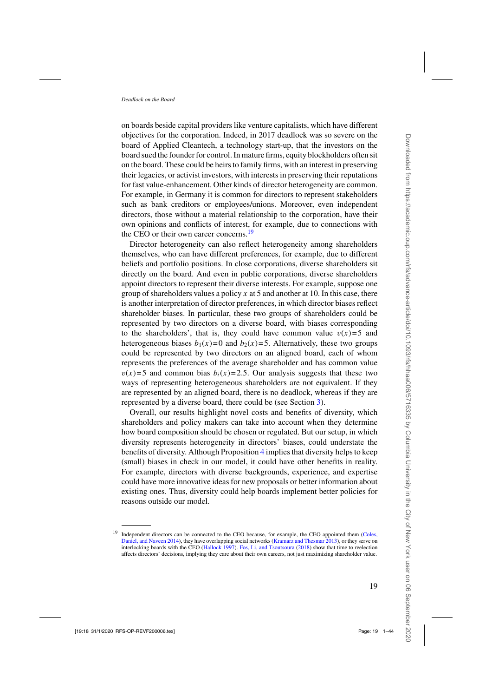on boards beside capital providers like venture capitalists, which have different objectives for the corporation. Indeed, in 2017 deadlock was so severe on the board of Applied Cleantech, a technology start-up, that the investors on the board sued the founder for control. In mature firms, equity blockholders often sit on the board. These could be heirs to family firms, with an interest in preserving their legacies, or activist investors, with interests in preserving their reputations for fast value-enhancement. Other kinds of director heterogeneity are common. For example, in Germany it is common for directors to represent stakeholders such as bank creditors or employees/unions. Moreover, even independent directors, those without a material relationship to the corporation, have their own opinions and conflicts of interest, for example, due to connections with the CEO or their own career concerns.<sup>19</sup>

Director heterogeneity can also reflect heterogeneity among shareholders themselves, who can have different preferences, for example, due to different beliefs and portfolio positions. In close corporations, diverse shareholders sit directly on the board. And even in public corporations, diverse shareholders appoint directors to represent their diverse interests. For example, suppose one group of shareholders values a policy x at 5 and another at 10. In this case, there is another interpretation of director preferences, in which director biases reflect shareholder biases. In particular, these two groups of shareholders could be represented by two directors on a diverse board, with biases corresponding to the shareholders', that is, they could have common value  $v(x)=5$  and heterogeneous biases  $b_1(x)=0$  and  $b_2(x)=5$ . Alternatively, these two groups could be represented by two directors on an aligned board, each of whom represents the preferences of the average shareholder and has common value  $v(x)=5$  and common bias  $b_i(x)=2.5$ . Our analysis suggests that these two ways of representing heterogeneous shareholders are not equivalent. If they are represented by an aligned board, there is no deadlock, whereas if they are represented by a diverse board, there could be (see Section [3\)](#page-12-0).

Overall, our results highlight novel costs and benefits of diversity, which shareholders and policy makers can take into account when they determine how board composition should be chosen or regulated. But our setup, in which diversity represents heterogeneity in directors' biases, could understate the benefits of diversity. Although Proposition [4](#page-12-0) implies that diversity helps to keep (small) biases in check in our model, it could have other benefits in reality. For example, directors with diverse backgrounds, experience, and expertise could have more innovative ideas for new proposals or better information about existing ones. Thus, diversity could help boards implement better policies for reasons outside our model.

<sup>&</sup>lt;sup>19</sup> Independent directors can be connected to the CEO because, for example, the CEO appointed them (Coles, Daniel, and Navee[n 2014](#page-41-0)), they have overlapping social networks [\(Kramarz and Thesmar 2013\)](#page-42-0), or they serve on interlocking boards with the CEO [\(Hallock 1997\)](#page-41-0). [Fos, Li, and Tsoutsoura](#page-41-0) [\(2018](#page-41-0)) show that time to reelection affects directors' decisions, implying they care about their own careers, not just maximizing shareholder value.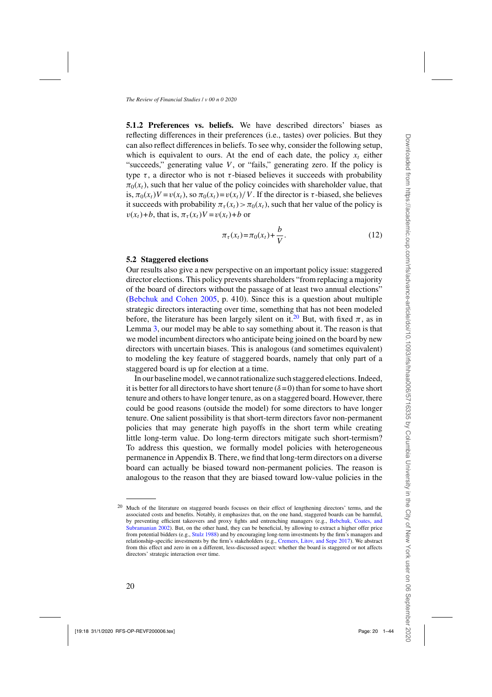**5.1.2 Preferences vs. beliefs.** We have described directors' biases as reflecting differences in their preferences (i.e., tastes) over policies. But they can also reflect differences in beliefs. To see why, consider the following setup, which is equivalent to ours. At the end of each date, the policy  $x_t$  either "succeeds," generating value  $V$ , or "fails," generating zero. If the policy is type  $\tau$ , a director who is not  $\tau$ -biased believes it succeeds with probability  $\pi_0(x_t)$ , such that her value of the policy coincides with shareholder value, that is,  $\pi_0(x_t)V = v(x_t)$ , so  $\pi_0(x_t) = v(x_t)/V$ . If the director is  $\tau$ -biased, she believes it succeeds with probability  $\pi_{\tau}(x_t) > \pi_0(x_t)$ , such that her value of the policy is  $v(x_t)+b$ , that is,  $\pi_\tau(x_t)V = v(x_t)+b$  or

$$
\pi_{\tau}(x_t) = \pi_0(x_t) + \frac{b}{V}.
$$
\n(12)

# **5.2 Staggered elections**

Our results also give a new perspective on an important policy issue: staggered director elections. This policy prevents shareholders "from replacing a majority of the board of directors without the passage of at least two annual elections" [\(Bebchuk and Cohen 2005](#page-40-0), p. 410). Since this is a question about multiple strategic directors interacting over time, something that has not been modeled before, the literature has been largely silent on it.<sup>20</sup> But, with fixed  $\pi$ , as in Lemma [3,](#page-15-0) our model may be able to say something about it. The reason is that we model incumbent directors who anticipate being joined on the board by new directors with uncertain biases. This is analogous (and sometimes equivalent) to modeling the key feature of staggered boards, namely that only part of a staggered board is up for election at a time.

In our baseline model, we cannot rationalize such staggered elections. Indeed, it is better for all directors to have short tenure ( $\delta = 0$ ) than for some to have short tenure and others to have longer tenure, as on a staggered board. However, there could be good reasons (outside the model) for some directors to have longer tenure. One salient possibility is that short-term directors favor non-permanent policies that may generate high payoffs in the short term while creating little long-term value. Do long-term directors mitigate such short-termism? To address this question, we formally model policies with heterogeneous permanence in Appendix B. There, we find that long-term directors on a diverse board can actually be biased toward non-permanent policies. The reason is analogous to the reason that they are biased toward low-value policies in the

<sup>&</sup>lt;sup>20</sup> Much of the literature on staggered boards focuses on their effect of lengthening directors' terms, and the associated costs and benefits. Notably, it emphasizes that, on the one hand, staggered boards can be harmful, by preventin[g](#page-40-0) [efficient](#page-40-0) [takeovers](#page-40-0) [and](#page-40-0) [proxy](#page-40-0) [fights](#page-40-0) [and](#page-40-0) [entrenching](#page-40-0) [managers](#page-40-0) [\(e.g.,](#page-40-0) Bebchuk, Coates, and Subramanian [2002](#page-40-0)). But, on the other hand, they can be beneficial, by allowing to extract a higher offer price from potential bidders (e.g., [Stulz 1988](#page-43-0)) and by encouraging long-term investments by the firm's managers and relationship-specific investments by the firm's stakeholders (e.g., [Cremers, Litov, and Sepe 2017\)](#page-41-0). We abstract from this effect and zero in on a different, less-discussed aspect: whether the board is staggered or not affects directors' strategic interaction over time.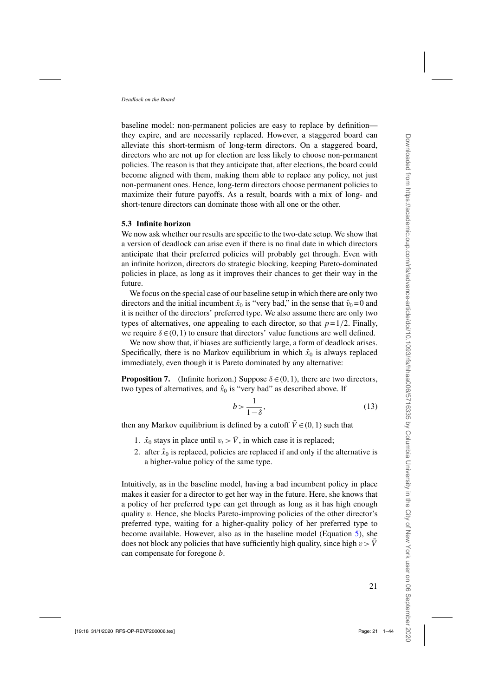<span id="page-20-0"></span>baseline model: non-permanent policies are easy to replace by definition they expire, and are necessarily replaced. However, a staggered board can alleviate this short-termism of long-term directors. On a staggered board, directors who are not up for election are less likely to choose non-permanent policies. The reason is that they anticipate that, after elections, the board could become aligned with them, making them able to replace any policy, not just non-permanent ones. Hence, long-term directors choose permanent policies to maximize their future payoffs. As a result, boards with a mix of long- and short-tenure directors can dominate those with all one or the other.

### **5.3 Infinite horizon**

We now ask whether our results are specific to the two-date setup. We show that a version of deadlock can arise even if there is no final date in which directors anticipate that their preferred policies will probably get through. Even with an infinite horizon, directors do strategic blocking, keeping Pareto-dominated policies in place, as long as it improves their chances to get their way in the future.

We focus on the special case of our baseline setup in which there are only two directors and the initial incumbent  $\hat{x}_0$  is "very bad," in the sense that  $\hat{v}_0 = 0$  and it is neither of the directors' preferred type. We also assume there are only two types of alternatives, one appealing to each director, so that  $p=1/2$ . Finally, we require  $\delta \in (0,1)$  to ensure that directors' value functions are well defined.

We now show that, if biases are sufficiently large, a form of deadlock arises. Specifically, there is no Markov equilibrium in which  $\hat{x}_0$  is always replaced immediately, even though it is Pareto dominated by any alternative:

**Proposition 7.** (Infinite horizon.) Suppose  $\delta \in (0,1)$ , there are two directors, two types of alternatives, and  $\hat{x}_0$  is "very bad" as described above. If

$$
b > \frac{1}{1 - \delta},\tag{13}
$$

then any Markov equilibrium is defined by a cutoff  $\overline{V} \in (0,1)$  such that

- 1.  $\hat{x}_0$  stays in place until  $v_t > \bar{V}$ , in which case it is replaced;
- 2. after  $\hat{x}_0$  is replaced, policies are replaced if and only if the alternative is a higher-value policy of the same type.

Intuitively, as in the baseline model, having a bad incumbent policy in place makes it easier for a director to get her way in the future. Here, she knows that a policy of her preferred type can get through as long as it has high enough quality  $v$ . Hence, she blocks Pareto-improving policies of the other director's preferred type, waiting for a higher-quality policy of her preferred type to become available. However, also as in the baseline model (Equation [5\)](#page-9-0), she does not block any policies that have sufficiently high quality, since high  $v > V$ can compensate for foregone b.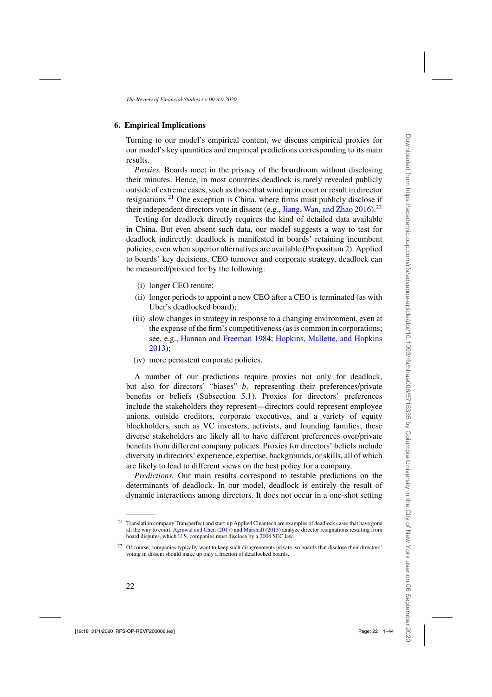### **6. Empirical Implications**

Turning to our model's empirical content, we discuss empirical proxies for our model's key quantities and empirical predictions corresponding to its main results.

*Proxies.* Boards meet in the privacy of the boardroom without disclosing their minutes. Hence, in most countries deadlock is rarely revealed publicly outside of extreme cases, such as those that wind up in court or result in director resignations.<sup>21</sup> One exception is China, where firms must publicly disclose if their independent directors vote in dissent (e.g., Jiang, Wan, and Zhao  $2016$ ).<sup>22</sup>

Testing for deadlock directly requires the kind of detailed data available in China. But even absent such data, our model suggests a way to test for deadlock indirectly: deadlock is manifested in boards' retaining incumbent policies, even when superior alternatives are available (Proposition [2\)](#page-9-0). Applied to boards' key decisions, CEO turnover and corporate strategy, deadlock can be measured/proxied for by the following:

- (i) longer CEO tenure;
- (ii) longer periods to appoint a new CEO after a CEO is terminated (as with Uber's deadlocked board);
- (iii) slow changes in strategy in response to a changing environment, even at the expense of the firm's competitiveness (as is common in corporations; see, e.g., [Hannan and Freeman 1984;](#page-41-0) [Hopkins, Mallette, and Hopkins](#page-42-0) [2013](#page-42-0));
- (iv) more persistent corporate policies.

A number of our predictions require proxies not only for deadlock, but also for directors' "biases"  $b<sub>\tau</sub>$  representing their preferences/private benefits or beliefs (Subsection [5.1\)](#page-17-0). Proxies for directors' preferences include the stakeholders they represent—directors could represent employee unions, outside creditors, corporate executives, and a variety of equity blockholders, such as VC investors, activists, and founding families; these diverse stakeholders are likely all to have different preferences over/private benefits from different company policies. Proxies for directors' beliefs include diversity in directors' experience, expertise, backgrounds, or skills, all of which are likely to lead to different views on the best policy for a company.

*Predictions.* Our main results correspond to testable predictions on the determinants of deadlock. In our model, deadlock is entirely the result of dynamic interactions among directors. It does not occur in a one-shot setting

<sup>&</sup>lt;sup>21</sup> Translation company Transperfect and start-up Applied Cleantech are examples of deadlock cases that have gone all the way to court. [Agrawal and Chen](#page-40-0) [\(2017\)](#page-40-0) and [Marshall](#page-42-0) [\(2013](#page-42-0)) analyze director resignations resulting from board disputes, which U.S. companies must disclose by a 2004 SEC law.

<sup>22</sup> Of course, companies typically want to keep such disagreements private, so boards that disclose their directors' voting in dissent should make up only a fraction of deadlocked boards.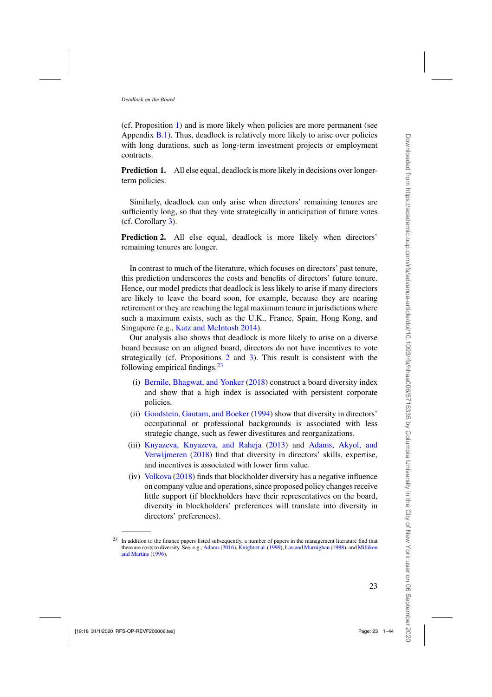<span id="page-22-0"></span>(cf. Proposition [1\)](#page-8-0) and is more likely when policies are more permanent (see Appendix  $B(1)$ . Thus, deadlock is relatively more likely to arise over policies with long durations, such as long-term investment projects or employment contracts.

**Prediction 1.** All else equal, deadlock is more likely in decisions over longerterm policies.

Similarly, deadlock can only arise when directors' remaining tenures are sufficiently long, so that they vote strategically in anticipation of future votes (cf. Corollary [3\)](#page-10-0).

**Prediction 2.** All else equal, deadlock is more likely when directors' remaining tenures are longer.

In contrast to much of the literature, which focuses on directors' past tenure, this prediction underscores the costs and benefits of directors' future tenure. Hence, our model predicts that deadlock is less likely to arise if many directors are likely to leave the board soon, for example, because they are nearing retirement or they are reaching the legal maximum tenure in jurisdictions where such a maximum exists, such as the U.K., France, Spain, Hong Kong, and Singapore (e.g., [Katz and McIntosh 2014](#page-42-0)).

Our analysis also shows that deadlock is more likely to arise on a diverse board because on an aligned board, directors do not have incentives to vote strategically (cf. Propositions [2](#page-9-0) and [3\)](#page-12-0). This result is consistent with the following empirical findings. $23$ 

- (i) Bernile, Bhagwat, and Yonker [\(2018\)](#page-40-0) construct a board diversity index and show that a high index is associated with persistent corporate policies.
- (ii) Goodstein, Gautam, and Boeker [\(1994\)](#page-41-0) show that diversity in directors' occupational or professional backgrounds is associated with less strategic change, such as fewer divestitures and reorganizations.
- (iii) Knyazeva, [Knyazeva, and Raheja](#page-40-0) [\(2013\)](#page-42-0) and Adams, Akyol, and Verwijmeren [\(2018](#page-40-0)) find that diversity in directors' skills, expertise, [and](#page-43-0) [ince](#page-43-0)ntives is associated with lower firm value.
- (iv) Volkova [\(2018\)](#page-43-0) finds that blockholder diversity has a negative influence on company value and operations, since proposed policy changes receive little support (if blockholders have their representatives on the board, diversity in blockholders' preferences will translate into diversity in directors' preferences).

<sup>&</sup>lt;sup>23</sup> In addition to the finance papers listed subsequently, a number of papers in the management literature find that there are co[sts to diversity. See, e.g.,](#page-42-0) [Adams\(2016](#page-40-0)), [Knight et al.](#page-42-0) [\(1999](#page-42-0)), [Lau and Murnighan](#page-42-0) [\(1998](#page-42-0)), and Milliken and Martins [\(1996](#page-42-0)).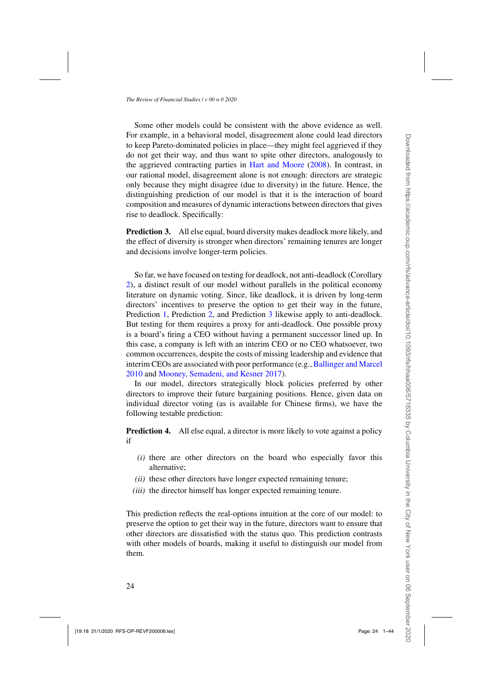Some other models could be consistent with the above evidence as well. For example, in a behavioral model, disagreement alone could lead directors to keep Pareto-dominated policies in place—they might feel aggrieved if they do not get their way, and thus want to spite other directors, analogously to the aggrieved contracting parties in [Hart and Moore](#page-41-0) [\(2008](#page-41-0)). In contrast, in our rational model, disagreement alone is not enough: directors are strategic only because they might disagree (due to diversity) in the future. Hence, the distinguishing prediction of our model is that it is the interaction of board composition and measures of dynamic interactions between directors that gives rise to deadlock. Specifically:

**Prediction 3.** All else equal, board diversity makes deadlock more likely, and the effect of diversity is stronger when directors' remaining tenures are longer and decisions involve longer-term policies.

So far, we have focused on testing for deadlock, not anti-deadlock (Corollary [2\)](#page-10-0), a distinct result of our model without parallels in the political economy literature on dynamic voting. Since, like deadlock, it is driven by long-term directors' incentives to preserve the option to get their way in the future, Prediction [1,](#page-22-0) Prediction [2,](#page-22-0) and Prediction 3 likewise apply to anti-deadlock. But testing for them requires a proxy for anti-deadlock. One possible proxy is a board's firing a CEO without having a permanent successor lined up. In this case, a company is left with an interim CEO or no CEO whatsoever, two common occurrences, despite the costs of missing leadership and evidence that interim CEOs are associated with poor performance (e.g., [Ballinger and Marcel](#page-40-0) [2010](#page-40-0) and [Mooney, Semadeni, and Kesner 2017\)](#page-42-0).

In our model, directors strategically block policies preferred by other directors to improve their future bargaining positions. Hence, given data on individual director voting (as is available for Chinese firms), we have the following testable prediction:

**Prediction 4.** All else equal, a director is more likely to vote against a policy if

- *(i)* there are other directors on the board who especially favor this alternative;
- *(ii)* these other directors have longer expected remaining tenure;
- *(iii)* the director himself has longer expected remaining tenure.

This prediction reflects the real-options intuition at the core of our model: to preserve the option to get their way in the future, directors want to ensure that other directors are dissatisfied with the status quo. This prediction contrasts with other models of boards, making it useful to distinguish our model from them.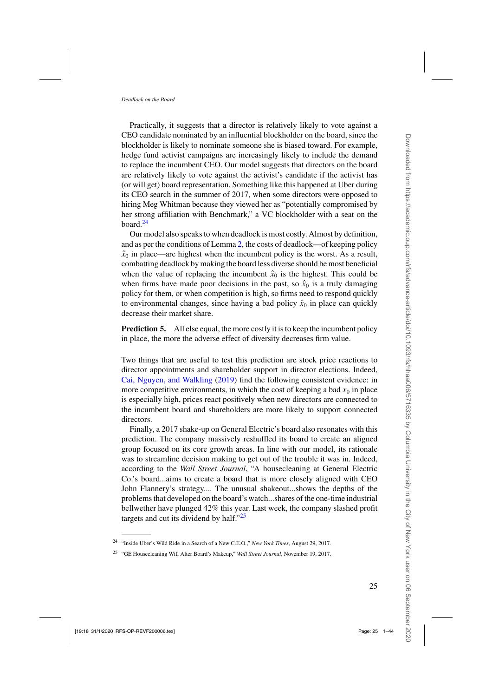Practically, it suggests that a director is relatively likely to vote against a CEO candidate nominated by an influential blockholder on the board, since the blockholder is likely to nominate someone she is biased toward. For example, hedge fund activist campaigns are increasingly likely to include the demand to replace the incumbent CEO. Our model suggests that directors on the board are relatively likely to vote against the activist's candidate if the activist has (or will get) board representation. Something like this happened at Uber during its CEO search in the summer of 2017, when some directors were opposed to hiring Meg Whitman because they viewed her as "potentially compromised by her strong affiliation with Benchmark," a VC blockholder with a seat on the board. $24$ 

Our model also speaks to when deadlock is most costly. Almost by definition, and as per the conditions of Lemma [2,](#page-13-0) the costs of deadlock—of keeping policy  $\hat{x}_0$  in place—are highest when the incumbent policy is the worst. As a result, combatting deadlock by making the board less diverse should be most beneficial when the value of replacing the incumbent  $\hat{x}_0$  is the highest. This could be when firms have made poor decisions in the past, so  $\hat{x}_0$  is a truly damaging policy for them, or when competition is high, so firms need to respond quickly to environmental changes, since having a bad policy  $\hat{x}_0$  in place can quickly decrease their market share.

**Prediction 5.** All else equal, the more costly it is to keep the incumbent policy in place, the more the adverse effect of diversity decreases firm value.

Two things that are useful to test this prediction are stock price reactions to director appointments and shareholder support in director elections. Indeed, [Cai, Nguyen, and Walkling](#page-41-0) [\(2019](#page-41-0)) find the following consistent evidence: in more competitive environments, in which the cost of keeping a bad  $x_0$  in place is especially high, prices react positively when new directors are connected to the incumbent board and shareholders are more likely to support connected directors.

Finally, a 2017 shake-up on General Electric's board also resonates with this prediction. The company massively reshuffled its board to create an aligned group focused on its core growth areas. In line with our model, its rationale was to streamline decision making to get out of the trouble it was in. Indeed, according to the *Wall Street Journal*, "A housecleaning at General Electric Co.'s board...aims to create a board that is more closely aligned with CEO John Flannery's strategy.... The unusual shakeout...shows the depths of the problems that developed on the board's watch...shares of the one-time industrial bellwether have plunged 42% this year. Last week, the company slashed profit targets and cut its dividend by half." $25$ 

<sup>24</sup> "Inside Uber's Wild Ride in a Search of a New C.E.O.," *New York Times*, August 29, 2017.

<sup>25</sup> "GE Housecleaning Will Alter Board's Makeup," *Wall Street Journal*, November 19, 2017.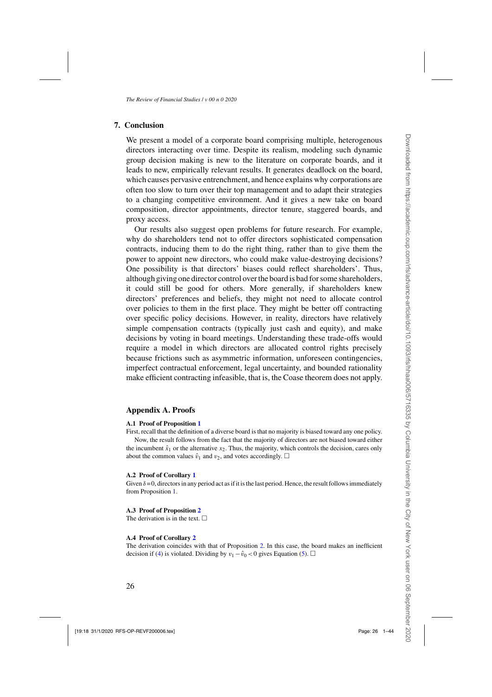# <span id="page-25-0"></span>**7. Conclusion**

We present a model of a corporate board comprising multiple, heterogenous directors interacting over time. Despite its realism, modeling such dynamic group decision making is new to the literature on corporate boards, and it leads to new, empirically relevant results. It generates deadlock on the board, which causes pervasive entrenchment, and hence explains why corporations are often too slow to turn over their top management and to adapt their strategies to a changing competitive environment. And it gives a new take on board composition, director appointments, director tenure, staggered boards, and proxy access.

Our results also suggest open problems for future research. For example, why do shareholders tend not to offer directors sophisticated compensation contracts, inducing them to do the right thing, rather than to give them the power to appoint new directors, who could make value-destroying decisions? One possibility is that directors' biases could reflect shareholders'. Thus, although giving one director control over the board is bad for some shareholders, it could still be good for others. More generally, if shareholders knew directors' preferences and beliefs, they might not need to allocate control over policies to them in the first place. They might be better off contracting over specific policy decisions. However, in reality, directors have relatively simple compensation contracts (typically just cash and equity), and make decisions by voting in board meetings. Understanding these trade-offs would require a model in which directors are allocated control rights precisely because frictions such as asymmetric information, unforeseen contingencies, imperfect contractual enforcement, legal uncertainty, and bounded rationality make efficient contracting infeasible, that is, the Coase theorem does not apply.

### **Appendix A. Proofs**

#### **A.1 Proof of Proposition [1](#page-8-0)**

First, recall that the definition of a diverse board is that no majority is biased toward any one policy. Now, the result follows from the fact that the majority of directors are not biased toward either the incumbent  $\hat{x}_1$  or the alternative  $x_2$ . Thus, the majority, which controls the decision, cares only about the common values  $\hat{v}_1$  and  $v_2$ , and votes accordingly.  $\Box$ 

#### **A.2 Proof of Corollary [1](#page-8-0)**

Given  $\delta = 0$ , directors in any period act as if it is the last period. Hence, the result follows immediately from Proposition [1.](#page-8-0)

### **A.3 Proof of Proposition [2](#page-9-0)**

The derivation is in the text.  $\Box$ 

#### **A.4 Proof of Corollary [2](#page-10-0)**

The derivation coincides with that of Proposition [2.](#page-9-0) In this case, the board makes an inefficient decision if [\(4\)](#page-9-0) is violated. Dividing by  $v_1 - \hat{v}_0 < 0$  gives Equation [\(5\)](#page-9-0).  $\Box$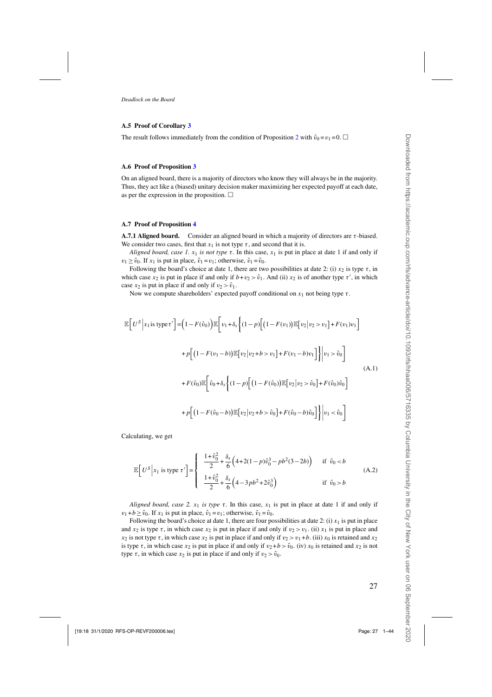#### <span id="page-26-0"></span>**A.5 Proof of Corollary [3](#page-10-0)**

The result follows immediately from the condition of Proposition [2](#page-9-0) with  $\hat{v}_0 = v_1 = 0$ .

#### **A.6 Proof of Proposition [3](#page-12-0)**

On an aligned board, there is a majority of directors who know they will always be in the majority. Thus, they act like a (biased) unitary decision maker maximizing her expected payoff at each date, as per the expression in the proposition.  $\Box$ 

#### **A.7 Proof of Proposition [4](#page-12-0)**

**A.7.1 Aligned board.** Consider an aligned board in which a majority of directors are  $\tau$ -biased. We consider two cases, first that  $x_1$  is not type  $\tau$ , and second that it is.

*Aligned board, case 1.*  $x_1$  *is not type*  $\tau$ . In this case,  $x_1$  is put in place at date 1 if and only if  $v_1 \geq \hat{v}_0$ . If  $x_1$  is put in place,  $\hat{v}_1 = v_1$ ; otherwise,  $\hat{v}_1 = \hat{v}_0$ .

Following the board's choice at date 1, there are two possibilities at date 2: (i)  $x_2$  is type  $\tau$ , in which case  $x_2$  is put in place if and only if  $b + v_2 > \hat{v}_1$ . And (ii)  $x_2$  is of another type  $\tau'$ , in which case  $x_2$  is put in place if and only if  $v_2 > \hat{v}_1$ .

Now we compute shareholders' expected payoff conditional on  $x_1$  not being type  $\tau$ .

$$
\mathbb{E}\Big[U^S\Big|x_1\text{ is type } \tau'\Big]\Big|=\Big(1-F(\hat{v}_0)\Big)\mathbb{E}\Big[v_1+\delta_s\Big\{(1-p)\Big[\big(1-F(v_1)\big)\mathbb{E}\big[v_2\big|v_2>v_1\big]+F(v_1)v_1\Big] +p\Big[\big(1-F(v_1-b)\big)\mathbb{E}\big[v_2\big|v_2+b>v_1\big]+F(v_1-b)v_1\Big]\Big\}\Big|v_1>\hat{v}_0\Big]
$$
\n
$$
+F(\hat{v}_0)\mathbb{E}\Big[\hat{v}_0+\delta_s\Big\{(1-p)\Big[\big(1-F(\hat{v}_0)\big)\mathbb{E}\big[v_2\big|v_2>\hat{v}_0\big]+F(\hat{v}_0)\hat{v}_0\Big] +p\Big[\big(1-F(\hat{v}_0-b)\big)\mathbb{E}\big[v_2\big|v_2+b>\hat{v}_0\big]+F(\hat{v}_0-b)\hat{v}_0\Big]\Big\}\Big|v_1<\hat{v}_0\Big]
$$
\n(A.1)

Calculating, we get

$$
\mathbb{E}\left[U^{S}\middle|x_{1}\text{ is type }\tau'\right]=\left\{\begin{array}{ll} \frac{1+\hat{v}_{0}^{2}}{2}+\frac{\delta_{s}}{6}\left(4+2(1-p)\hat{v}_{0}^{3}-pb^{2}(3-2b)\right) & \text{if }\hat{v}_{0}b \end{array}\right.\tag{A.2}
$$

*Aligned board, case 2.*  $x_1$  *is type*  $\tau$ . In this case,  $x_1$  is put in place at date 1 if and only if  $v_1 + b > \hat{v}_0$ . If  $x_1$  is put in place,  $\hat{v}_1 = v_1$ ; otherwise,  $\hat{v}_1 = \hat{v}_0$ .

Following the board's choice at date 1, there are four possibilities at date 2: (i)  $x_1$  is put in place and  $x_2$  is type  $\tau$ , in which case  $x_2$  is put in place if and only if  $v_2 > v_1$ . (ii)  $x_1$  is put in place and  $x_2$  is not type  $\tau$ , in which case  $x_2$  is put in place if and only if  $v_2 > v_1 + b$ . (iii)  $x_0$  is retained and  $x_2$ is type  $\tau$ , in which case  $x_2$  is put in place if and only if  $v_2 + b > \hat{v}_0$ . (iv)  $x_0$  is retained and  $x_2$  is not type  $\tau$ , in which case  $x_2$  is put in place if and only if  $v_2 > \hat{v}_0$ .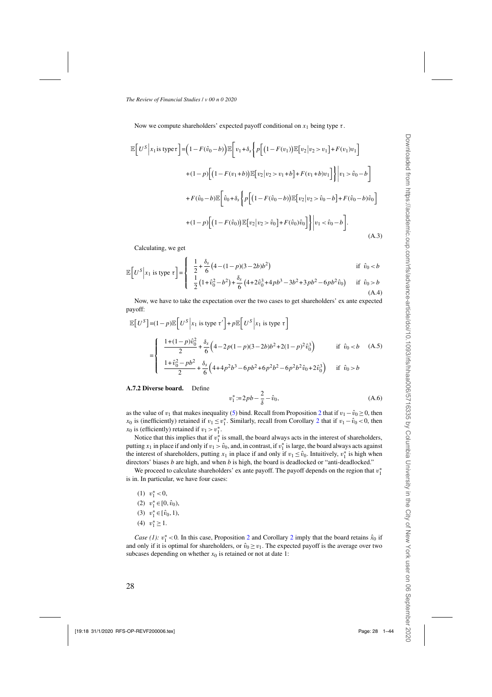<span id="page-27-0"></span>Now we compute shareholders' expected payoff conditional on  $x_1$  being type  $\tau$ .

$$
\mathbb{E}\Big[U^{S}\Big|x_{1}\text{ is type } \tau\Big]\Big|=\Big(1-F(\hat{v}_{0}-b)\Big)\mathbb{E}\Big[v_{1}+\delta_{s}\Big\{p\Big[\big(1-F(v_{1})\big)\mathbb{E}\big[v_{2}\big|v_{2}>v_{1}\big]+F(v_{1})v_{1}\Big] + (1-p)\Big[\big(1-F(v_{1}+b)\big)\mathbb{E}\big[v_{2}\big|v_{2}>v_{1}+b\big]+F(v_{1}+b)v_{1}\Big]\Big\}\Big|v_{1}>\hat{v}_{0}-b\Big]
$$

$$
+F(\hat{v}_{0}-b)\mathbb{E}\Big[\hat{v}_{0}+\delta_{s}\Big\{p\Big[\big(1-F(\hat{v}_{0}-b)\big)\mathbb{E}\big[v_{2}\big|v_{2}>\hat{v}_{0}-b\big]+F(\hat{v}_{0}-b)\hat{v}_{0}\Big] + (1-p)\Big[\big(1-F(\hat{v}_{0})\big)\mathbb{E}\big[v_{2}\big|v_{2}>\hat{v}_{0}\big]+F(\hat{v}_{0})\hat{v}_{0}\Big]\Big\}\Big|v_{1} < \hat{v}_{0}-b\Big].
$$
\n(A.3)

Calculating, we get

$$
\mathbb{E}\left[U^{S}\big| x_{1} \text{ is type } \tau\right] = \begin{cases} \frac{1}{2} + \frac{\delta_{s}}{6} \left(4 - (1 - p)(3 - 2b)b^{2}\right) & \text{if } \hat{v}_{0} < b \\ \frac{1}{1} \left(1 + \frac{\delta_{s}}{2} - \frac{1}{2}\right) + \frac{\delta_{s}}{2} \left(4 + \frac{\delta_{s}}{2}\right) + \frac{1}{2} \left(4 + \frac{\delta_{s}}{2}\right) + \frac{1}{2} \left(4 + \frac{\delta_{s}}{2}\right) + \frac{1}{2} \left(4 + \frac{\delta_{s}}{2}\right) + \frac{1}{2} \left(4 + \frac{\delta_{s}}{2}\right) + \frac{1}{2} \left(4 + \frac{\delta_{s}}{2}\right) + \frac{1}{2} \left(4 + \frac{\delta_{s}}{2}\right) + \frac{1}{2} \left(4 + \frac{\delta_{s}}{2}\right) + \frac{1}{2} \left(4 + \frac{\delta_{s}}{2}\right) + \frac{1}{2} \left(4 + \frac{\delta_{s}}{2}\right) + \frac{1}{2} \left(4 + \frac{\delta_{s}}{2}\right) + \frac{1}{2} \left(4 + \frac{\delta_{s}}{2}\right) + \frac{1}{2} \left(4 + \frac{\delta_{s}}{2}\right) + \frac{1}{2} \left(4 + \frac{\delta_{s}}{2}\right) + \frac{1}{2} \left(4 + \frac{\delta_{s}}{2}\right) + \frac{1}{2} \left(4 + \frac{\delta_{s}}{2}\right) + \frac{1}{2} \left(4 + \frac{\delta_{s}}{2}\right) + \frac{1}{2} \left(4 + \frac{\delta_{s}}{2}\right) + \frac{1}{2} \left(4 + \frac{\delta_{s}}{2}\right) + \frac{1}{2} \left(4 + \frac{\delta_{s}}{2}\right) + \frac{1}{2} \left(4 + \frac{\delta_{s}}{2}\right) + \frac{1}{2} \left(4 + \frac{\delta_{s}}{2}\right) + \frac{1}{2} \left(4 + \frac{\delta_{s}}{2}\right) + \frac{1}{2} \left(4 + \frac{\delta_{s}}{2}\right) + \frac{1}{2} \left(4 + \frac{\delta_{s}}{2}\right) + \frac{1}{2} \left(
$$

$$
\begin{bmatrix} 1 & 1 & 1 \\ 1 & 2 & 1 \\ 1 & 2 & 1 + \hat{v}_0^2 - b^2 + \frac{\delta_s}{6} \left( 4 + 2\hat{v}_0^3 + 4pb^3 - 3b^2 + 3pb^2 - 6pb^2\hat{v}_0 \right) & \text{if } \hat{v}_0 > b \\ (A.4)
$$

Now, we have to take the expectation over the two cases to get shareholders' ex ante expected payoff:

$$
\mathbb{E}\left[U^{S}\right] = (1-p)\mathbb{E}\left[U^{S}\middle|x_{1}\text{ is type }\tau'\right] + p\mathbb{E}\left[U^{S}\middle|x_{1}\text{ is type }\tau\right]
$$
\n
$$
= \begin{cases}\n\frac{1+(1-p)\hat{v}_{0}^{2}}{2} + \frac{\delta_{s}}{6}\left(4 - 2p(1-p)(3 - 2b)b^{2} + 2(1-p)^{2}\hat{v}_{0}^{3}\right) & \text{if } \hat{v}_{0} < b \quad (A.5) \\
\frac{1+\hat{v}_{0}^{2} - pb^{2}}{2} + \frac{\delta_{s}}{6}\left(4 + 4p^{2}b^{3} - 6pb^{2} + 6p^{2}b^{2} - 6p^{2}b^{2}\hat{v}_{0} + 2\hat{v}_{0}^{3}\right) & \text{if } \hat{v}_{0} > b\n\end{cases}
$$

### **A.7.2 Diverse board.** Define

$$
v_1^* := 2pb - \frac{2}{\delta} - \hat{v}_0,\tag{A.6}
$$

as the value of v<sub>1</sub> that makes inequality [\(5\)](#page-9-0) bind. Recall from Proposition [2](#page-9-0) that if  $v_1 - v_0 > 0$ , then  $x_0$  is (inefficiently) retained if  $v_1 \le v_1^*$ . Similarly, recall from Corollary [2](#page-10-0) that if  $v_1 - \hat{v}_0 < 0$ , then  $x_0$  is (efficiently) retained if  $v_1 > v_1^*$ .

Notice that this implies that if  $v_1^*$  is small, the board always acts in the interest of shareholders, putting  $x_1$  in place if and only if  $v_1 > \hat{v}_0$ , and, in contrast, if  $v_1^*$  is large, the board always acts against the interest of shareholders, putting  $x_1$  in place if and only if  $v_1 \leq \hat{v}_0$ . Intuitively,  $v_1^*$  is high when directors' biases  $b$  are high, and when  $b$  is high, the board is deadlocked or "anti-deadlocked."

We proceed to calculate shareholders' ex ante payoff. The payoff depends on the region that  $v_1^*$ is in. In particular, we have four cases:

- (1)  $v_1^* < 0$ ,
- (2)  $v_1^* \in [0, \hat{v}_0)$ ,
- (3)  $v_1^* \in [\hat{v}_0, 1)$ ,
- (4)  $v_1^* \geq 1$ .

*Case (1):*  $v_1^*$  <0. In this case, Proposition [2](#page-10-0) and Corollary 2 imply that the board retains  $\hat{x}_0$  if and only if it is optimal for shareholders, or  $\hat{v}_0 \ge v_1$ . The expected payoff is the average over two subcases depending on whether  $x_0$  is retained or not at date 1: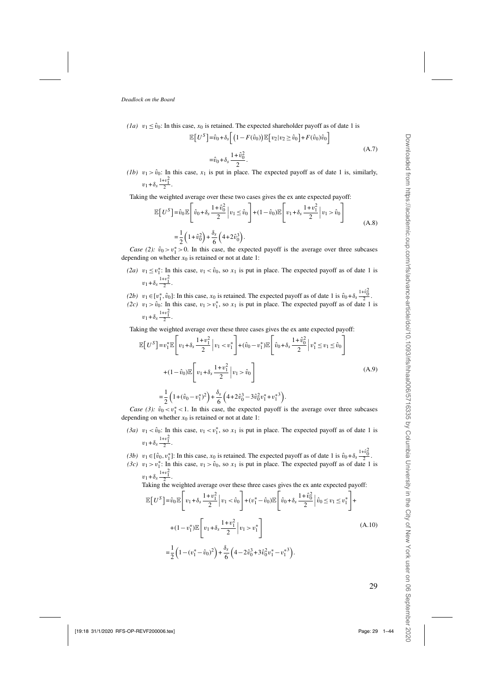<span id="page-28-0"></span>*(1a)*  $v_1 \le \hat{v}_0$ : In this case,  $x_0$  is retained. The expected shareholder payoff as of date 1 is

$$
\mathbb{E}\left[U^S\right] = \hat{v}_0 + \delta_s \left[\left(1 - F(\hat{v}_0)\right) \mathbb{E}\left[v_2|v_2 \ge \hat{v}_0\right] + F(\hat{v}_0)\hat{v}_0\right]
$$
  

$$
= \hat{v}_0 + \delta_s \frac{1 + \hat{v}_0^2}{2}.
$$
 (A.7)

*(1b)*  $v_1 > \hat{v}_0$ : In this case,  $x_1$  is put in place. The expected payoff as of date 1 is, similarly,  $v_1 + \delta_s \frac{1+v_1^2}{2}$ .

Taking the weighted average over these two cases gives the ex ante expected payoff:

$$
\mathbb{E}\left[U^S\right] = \hat{v}_0 \mathbb{E}\left[\hat{v}_0 + \delta_s \frac{1 + \hat{v}_0^2}{2} \middle| v_1 \le \hat{v}_0\right] + (1 - \hat{v}_0)\mathbb{E}\left[v_1 + \delta_s \frac{1 + v_1^2}{2} \middle| v_1 > \hat{v}_0\right]
$$
\n
$$
= \frac{1}{2}\left(1 + \hat{v}_0^2\right) + \frac{\delta_s}{6}\left(4 + 2\hat{v}_0^3\right).
$$
\n(A.8)

*Case (2):*  $\hat{v}_0 > v_1^* > 0$ . In this case, the expected payoff is the average over three subcases depending on whether  $x_0$  is retained or not at date 1:

- (2*a*)  $v_1 \le v_1^*$ : In this case,  $v_1 < \hat{v}_0$ , so  $x_1$  is put in place. The expected payoff as of date 1 is  $v_1 + \delta_s \frac{1+v_1^2}{2}$ .
- (2b)  $v_1 \in [v_1^*, \hat{v}_0]$ : In this case,  $x_0$  is retained. The expected payoff as of date 1 is  $\hat{v}_0 + \delta_s \frac{1 + \hat{v}_0^2}{2}$ .
- (2c)  $v_1 > v_0$ : In this case,  $v_1 > v_1^*$ , so  $x_1$  is put in place. The expected payoff as of date 1 is  $v_1 + \delta_s \frac{1+v_1^2}{2}$ .

Taking the weighted average over these three cases gives the ex ante expected payoff:

$$
\mathbb{E}\left[U^{S}\right] = v_{1}^{*}\mathbb{E}\left[v_{1} + \delta_{s}\frac{1+v_{1}^{2}}{2}\middle|v_{1} < v_{1}^{*}\right] + (\hat{v}_{0} - v_{1}^{*})\mathbb{E}\left[\hat{v}_{0} + \delta_{s}\frac{1+\hat{v}_{0}^{2}}{2}\middle|v_{1}^{*} \leq v_{1} \leq \hat{v}_{0}\right]
$$
  
+ 
$$
(1 - \hat{v}_{0})\mathbb{E}\left[v_{1} + \delta_{s}\frac{1+v_{1}^{2}}{2}\middle|v_{1} > \hat{v}_{0}\right]
$$
  
= 
$$
\frac{1}{2}\left(1 + (\hat{v}_{0} - v_{1}^{*})^{2}\right) + \frac{\delta_{s}}{6}\left(4 + 2\hat{v}_{0}^{3} - 3\hat{v}_{0}^{2}v_{1}^{*} + v_{1}^{*3}\right).
$$
 (A.9)

*Case (3):*  $\hat{v}_0 < v_1^* < 1$ . In this case, the expected payoff is the average over three subcases depending on whether  $x_0$  is retained or not at date 1:

- (3*a*)  $v_1 < \hat{v}_0$ : In this case,  $v_1 < v_1^*$ , so  $x_1$  is put in place. The expected payoff as of date 1 is  $v_1 + \delta_s \frac{1+v_1^2}{2}$ .
- (3b)  $v_1 \in [\hat{v}_0, v_1^*]$ : In this case,  $x_0$  is retained. The expected payoff as of date 1 is  $\hat{v}_0 + \delta_s \frac{1 + \hat{v}_0^2}{2}$ .
- (3c)  $v_1 > v_1^*$ : In this case,  $v_1 > v_0$ , so  $x_1$  is put in place. The expected payoff as of date 1 is  $v_1 + \delta_s \frac{1+v_1^2}{2}$ .

Taking the weighted average over these three cases gives the ex ante expected payoff:

$$
\mathbb{E}\left[U^{S}\right] = \hat{v}_{0}\mathbb{E}\left[v_{1} + \delta_{s}\frac{1+v_{1}^{2}}{2}\middle|v_{1} < \hat{v}_{0}\right] + (v_{1}^{*} - \hat{v}_{0})\mathbb{E}\left[\hat{v}_{0} + \delta_{s}\frac{1+\hat{v}_{0}^{2}}{2}\middle|\hat{v}_{0} \leq v_{1} \leq v_{1}^{*}\right] + (1-v_{1}^{*})\mathbb{E}\left[v_{1} + \delta_{s}\frac{1+v_{1}^{2}}{2}\middle|v_{1} > v_{1}^{*}\right]
$$
\n
$$
= \frac{1}{2}\left(1-(v_{1}^{*} - \hat{v}_{0})^{2}\right) + \frac{\delta_{s}}{6}\left(4 - 2\hat{v}_{0}^{3} + 3\hat{v}_{0}^{2}v_{1}^{*} - v_{1}^{*3}\right).
$$
\n(A.10)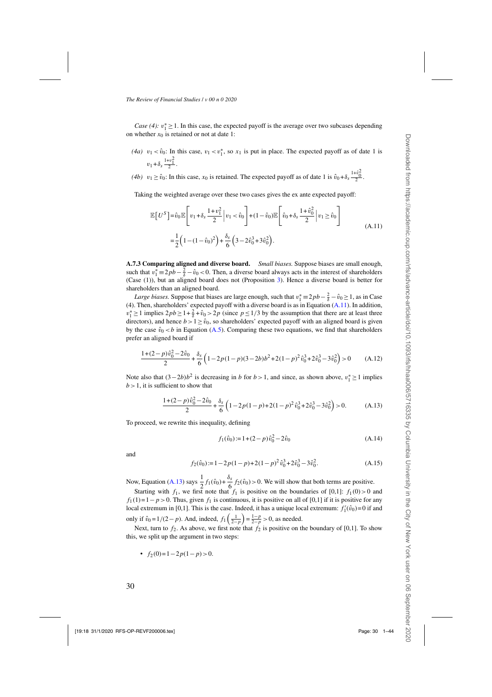<span id="page-29-0"></span>*Case* (4):  $v_1^* \ge 1$ . In this case, the expected payoff is the average over two subcases depending on whether  $x_0$  is retained or not at date 1:

- (4*a*)  $v_1 < \hat{v}_0$ : In this case,  $v_1 < v_1^*$ , so  $x_1$  is put in place. The expected payoff as of date 1 is  $v_1 + \delta_s \frac{1+v_1^2}{2}$ .
- (4b)  $v_1 \ge \hat{v}_0$ : In this case,  $x_0$  is retained. The expected payoff as of date 1 is  $\hat{v}_0 + \delta_s \frac{1 + \hat{v}_0^2}{2}$ .

Taking the weighted average over these two cases gives the ex ante expected payoff:

$$
\mathbb{E}\left[U^{S}\right] = \hat{v}_{0}\mathbb{E}\left[v_{1} + \delta_{s}\frac{1+v_{1}^{2}}{2}\middle|v_{1} < \hat{v}_{0}\right] + (1-\hat{v}_{0})\mathbb{E}\left[\hat{v}_{0} + \delta_{s}\frac{1+\hat{v}_{0}^{2}}{2}\middle|v_{1} \geq \hat{v}_{0}\right]
$$
\n
$$
= \frac{1}{2}\left(1 - (1-\hat{v}_{0})^{2}\right) + \frac{\delta_{s}}{6}\left(3 - 2\hat{v}_{0}^{3} + 3\hat{v}_{0}^{2}\right).
$$
\n(A.11)

**A.7.3 Comparing aligned and diverse board.** *Small biases.* Suppose biases are small enough, such that  $v_1^* \equiv 2pb - \frac{2}{\delta} - \hat{v}_0 < 0$ . Then, a diverse board always acts in the interest of shareholders (Case (1)), but an aligned board does not (Proposition [3\)](#page-12-0). Hence a diverse board is better for shareholders than an aligned board.

*Large biases.* Suppose that biases are large enough, such that  $v_1^* \equiv 2pb - \frac{2}{\delta} - v_0 \ge 1$ , as in Case (4). Then, shareholders' expected payoff with a diverse board is as in Equation (A.11). In addition,  $v_1^* \ge 1$  implies  $2pb \ge 1 + \frac{2}{\delta} + \hat{v}_0 > 2p$  (since  $p \le 1/3$  by the assumption that there are at least three directors), and hence  $b > 1 \ge \hat{v}_0$ , so shareholders' expected payoff with an aligned board is given by the case  $\hat{v}_0 < b$  in Equation [\(A.5\)](#page-27-0). Comparing these two equations, we find that shareholders prefer an aligned board if

$$
\frac{1 + (2 - p)\hat{v}_0^2 - 2\hat{v}_0}{2} + \frac{\delta_s}{6} \left( 1 - 2p(1 - p)(3 - 2b)b^2 + 2(1 - p)^2 \hat{v}_0^3 + 2\hat{v}_0^3 - 3\hat{v}_0^2 \right) > 0 \tag{A.12}
$$

Note also that  $(3-2b)b^2$  is decreasing in b for  $b > 1$ , and since, as shown above,  $v_1^* \ge 1$  implies  $b > 1$ , it is sufficient to show that

$$
\frac{1+(2-p)\hat{v}_0^2 - 2\hat{v}_0}{2} + \frac{\delta_s}{6} \left( 1 - 2p(1-p) + 2(1-p)^2 \hat{v}_0^3 + 2\hat{v}_0^3 - 3\hat{v}_0^2 \right) > 0.
$$
 (A.13)

To proceed, we rewrite this inequality, defining

$$
f_1(\hat{v}_0) := 1 + (2 - p)\hat{v}_0^2 - 2\hat{v}_0
$$
 (A.14)

and

$$
f_2(\hat{v}_0) := 1 - 2p(1-p) + 2(1-p)^2 \hat{v}_0^3 + 2\hat{v}_0^3 - 3\hat{v}_0^2.
$$
 (A.15)

Now, Equation (A.13) says  $\frac{1}{2}$  $\frac{1}{2}f_1(\hat{v}_0)+\frac{\delta_s}{6}f_2(\hat{v}_0)>0$ . We will show that both terms are positive.

Starting with  $f_1$ , we first note that  $f_1$  is positive on the boundaries of [0,1]:  $f_1(0) > 0$  and  $f_1(1)=1-p>0$ . Thus, given  $f_1$  is continuous, it is positive on all of [0,1] if it is positive for any local extremum in [0,1]. This is the case. Indeed, it has a unique local extremum:  $f'_1(\hat{v}_0) = 0$  if and only if  $\hat{v}_0 = 1/(2 - p)$ . And, indeed,  $f_1\left(\frac{1}{2-p}\right) = \frac{1-p}{2-p} > 0$ , as needed.

Next, turn to  $f_2$ . As above, we first note that  $f_2$  is positive on the boundary of [0,1]. To show this, we split up the argument in two steps:

• 
$$
f_2(0)=1-2p(1-p)>0.
$$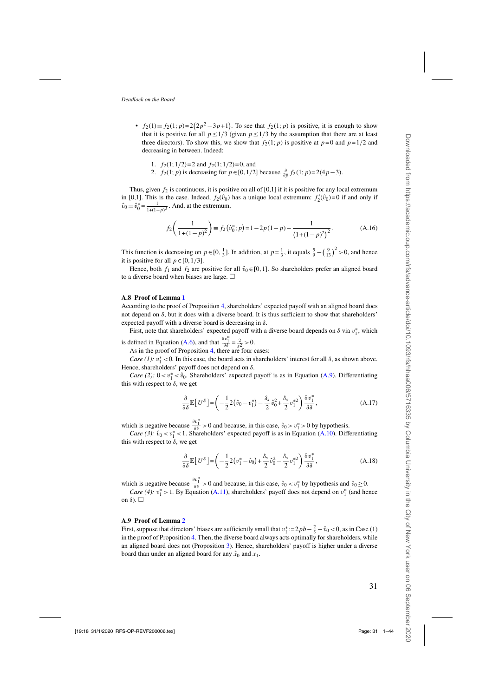- $f_2(1) \equiv f_2(1; p) = 2(2p^2 3p + 1)$ . To see that  $f_2(1; p)$  is positive, it is enough to show that it is positive for all  $p \le 1/3$  (given  $p \le 1/3$  by the assumption that there are at least three directors). To show this, we show that  $f_2(1; p)$  is positive at  $p=0$  and  $p=1/2$  and decreasing in between. Indeed:
	- 1.  $f_2(1;1/2)=2$  and  $f_2(1;1/2)=0$ , and 2.  $f_2(1; p)$  is decreasing for  $p \in [0, 1/2]$  because  $\frac{\partial}{\partial p} f_2(1; p) = 2(4p-3)$ .

Thus, given  $f_2$  is continuous, it is positive on all of [0,1] if it is positive for any local extremum in [0,1]. This is the case. Indeed,  $f_2(\hat{v}_0)$  has a unique local extremum:  $f'_2(\hat{v}_0) = 0$  if and only if  $\hat{v}_0 \equiv \hat{v}_0^* = \frac{1}{1 + (1 - p)^2}$ . And, at the extremum,

$$
f_2\left(\frac{1}{1+(1-p)^2}\right) \equiv f_2\left(\hat{v}_0^*; p\right) = 1 - 2p(1-p) - \frac{1}{\left(1+(1-p)^2\right)^2}.
$$
 (A.16)

This function is decreasing on  $p \in [0, \frac{1}{3}]$ . In addition, at  $p = \frac{1}{3}$ , it equals  $\frac{5}{9} - (\frac{9}{13})^2 > 0$ , and hence it is positive for all  $p \in [0,1/3]$ .

Hence, both  $f_1$  and  $f_2$  are positive for all  $\hat{v}_0 \in [0,1]$ . So shareholders prefer an aligned board to a diverse board when biases are large.  $\Box$ 

#### **A.8 Proof of Lemma [1](#page-13-0)**

According to the proof of Proposition [4,](#page-12-0) shareholders' expected payoff with an aligned board does not depend on δ, but it does with a diverse board. It is thus sufficient to show that shareholders' expected payoff with a diverse board is decreasing in  $\delta$ .

First, note that shareholders' expected payoff with a diverse board depends on  $\delta$  via  $v_1^*$ , which is defined in Equation [\(A.6\)](#page-27-0), and that  $\frac{\partial v_1^*}{\partial \delta} = \frac{2}{\delta^2} > 0$ .

As in the proof of Proposition [4,](#page-12-0) there are four cases:

*Case (1):*  $v_1^*$  < 0. In this case, the board acts in shareholders' interest for all  $\delta$ , as shown above. Hence, shareholders' payoff does not depend on  $\delta$ .

*Case (2):*  $0 < v_1^* < \hat{v}_0$ . Shareholders' expected payoff is as in Equation [\(A.9\)](#page-28-0). Differentiating this with respect to  $\delta$ , we get

$$
\frac{\partial}{\partial \delta} \mathbb{E}\left[U^S\right] = \left(-\frac{1}{2}2(\hat{v}_0 - v_1^*) - \frac{\delta_s}{2}\hat{v}_0^2 + \frac{\delta_s}{2}v_1^{*2}\right)\frac{\partial v_1^*}{\partial \delta},\tag{A.17}
$$

which is negative because  $\frac{\partial v_1^*}{\partial \delta} > 0$  and because, in this case,  $\hat{v}_0 > v_1^* > 0$  by hypothesis.

*Case (3):*  $\hat{v}_0 < v_1^* < 1$ . Shareholders' expected payoff is as in Equation [\(A.10\)](#page-28-0). Differentiating this with respect to  $\delta$ , we get

$$
\frac{\partial}{\partial \delta} \mathbb{E}\left[U^S\right] = \left(-\frac{1}{2}2(v_1^* - \hat{v}_0) + \frac{\delta_s}{2}\hat{v}_0^2 - \frac{\delta_s}{2}v_1^{*2}\right)\frac{\partial v_1^*}{\partial \delta},\tag{A.18}
$$

which is negative because  $\frac{\partial v_1^*}{\partial \delta} > 0$  and because, in this case,  $\hat{v}_0 < v_1^*$  by hypothesis and  $\hat{v}_0 \ge 0$ .

*Case* (4):  $v_1^* > 1$ . By Equation [\(A.11\)](#page-29-0), shareholders' payoff does not depend on  $v_1^*$  (and hence on  $\delta$ ).  $\Box$ 

#### **A.9 Proof of Lemma [2](#page-13-0)**

First, suppose that directors' biases are sufficiently small that  $v_1^* := 2pb - \frac{2}{\delta} - \hat{v}_0 < 0$ , as in Case (1) in the proof of Proposition [4.](#page-12-0) Then, the diverse board always acts optimally for shareholders, while an aligned board does not (Proposition [3\)](#page-12-0). Hence, shareholders' payoff is higher under a diverse board than under an aligned board for any  $\hat{x}_0$  and  $x_1$ .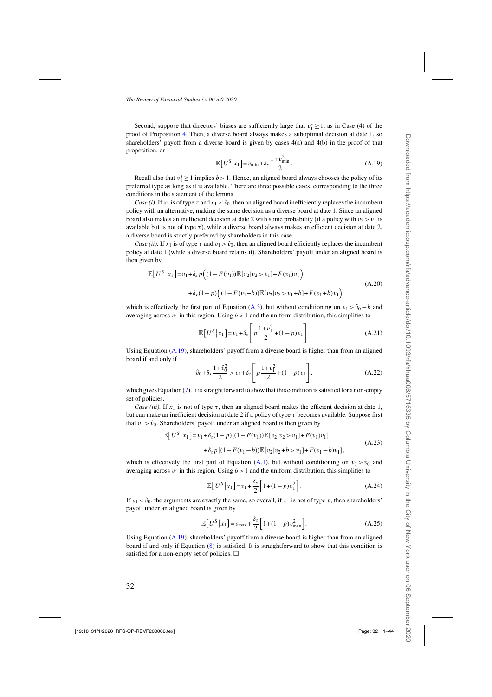Second, suppose that directors' biases are sufficiently large that  $v_1^* \ge 1$ , as in Case (4) of the proof of Proposition [4.](#page-12-0) Then, a diverse board always makes a suboptimal decision at date 1, so shareholders' payoff from a diverse board is given by cases 4(a) and 4(b) in the proof of that proposition, or

$$
\mathbb{E}\left[U^S|x_1\right] = v_{\min} + \delta_s \frac{1 + v_{\min}^2}{2}.
$$
\n(A.19)

Recall also that  $v_1^* \ge 1$  implies  $b > 1$ . Hence, an aligned board always chooses the policy of its preferred type as long as it is available. There are three possible cases, corresponding to the three conditions in the statement of the lemma.

*Case (i).* If  $x_1$  is of type  $\tau$  and  $v_1 < \hat{v}_0$ , then an aligned board inefficiently replaces the incumbent policy with an alternative, making the same decision as a diverse board at date 1. Since an aligned board also makes an inefficient decision at date 2 with some probability (if a policy with  $v_2 > v_1$  is available but is not of type  $\tau$ ), while a diverse board always makes an efficient decision at date 2, a diverse board is strictly preferred by shareholders in this case.

*Case (ii).* If  $x_1$  is of type  $\tau$  and  $v_1 > \hat{v}_0$ , then an aligned board efficiently replaces the incumbent policy at date 1 (while a diverse board retains it). Shareholders' payoff under an aligned board is then given by

$$
\mathbb{E}\big[U^S\big|x_1\big]\big| = v_1 + \delta_s p\Big((1 - F(v_1))\mathbb{E}[v_2|v_2 > v_1] + F(v_1)v_1\Big) + \delta_s(1 - p)\Big((1 - F(v_1 + b))\mathbb{E}[v_2|v_2 > v_1 + b] + F(v_1 + b)v_1\Big)
$$
(A.20)

which is effectively the first part of Equation [\(A.3\)](#page-27-0), but without conditioning on  $v_1 > \hat{v}_0 - b$  and averaging across  $v_1$  in this region. Using  $b > 1$  and the uniform distribution, this simplifies to

$$
\mathbb{E}\left[U^{S}|x_{1}\right] = v_{1} + \delta_{S}\left[p\frac{1+v_{1}^{2}}{2} + (1-p)v_{1}\right].
$$
\n(A.21)

Using Equation  $(A.19)$ , shareholders' payoff from a diverse board is higher than from an aligned board if and only if

$$
\hat{v}_0 + \delta_s \frac{1 + \hat{v}_0^2}{2} > v_1 + \delta_s \left[ p \frac{1 + v_1^2}{2} + (1 - p) v_1 \right],
$$
\n(A.22)

which gives Equation [\(7\)](#page-13-0). It is straightforward to show that this condition is satisfied for a non-empty set of policies.

*Case (iii).* If  $x_1$  is not of type  $\tau$ , then an aligned board makes the efficient decision at date 1, but can make an inefficient decision at date 2 if a policy of type  $\tau$  becomes available. Suppose first that  $v_1 > \hat{v}_0$ . Shareholders' payoff under an aligned board is then given by

$$
\mathbb{E}\big[U^{S}|x_{1}\big] = v_{1} + \delta_{s}(1-p)\big[(1-F(v_{1}))\mathbb{E}\big[v_{2}|v_{2} > v_{1}\big] + F(v_{1})v_{1}\big] + \delta_{s}p\big[(1-F(v_{1}-b))\mathbb{E}\big[v_{2}|v_{2}+b > v_{1}\big] + F(v_{1}-b)v_{1}\big],
$$
\n(A.23)

which is effectively the first part of Equation [\(A.1\)](#page-26-0), but without conditioning on  $v_1 > \hat{v}_0$  and averaging across  $v_1$  in this region. Using  $b > 1$  and the uniform distribution, this simplifies to

$$
\mathbb{E}\left[U^S|x_1\right] = v_1 + \frac{\delta_s}{2} \left[1 + (1-p)v_1^2\right].\tag{A.24}
$$

If  $v_1 < \hat{v}_0$ , the arguments are exactly the same, so overall, if  $x_1$  is not of type  $\tau$ , then shareholders' payoff under an aligned board is given by

$$
\mathbb{E}\left[U^{S}\big|x_{1}\right] = v_{\max} + \frac{\delta_{s}}{2}\left[1 + (1-p)v_{\max}^{2}\right].\tag{A.25}
$$

Using Equation  $(A.19)$ , shareholders' payoff from a diverse board is higher than from an aligned board if and only if Equation [\(8\)](#page-13-0) is satisfied. It is straightforward to show that this condition is satisfied for a non-empty set of policies.  $\Box$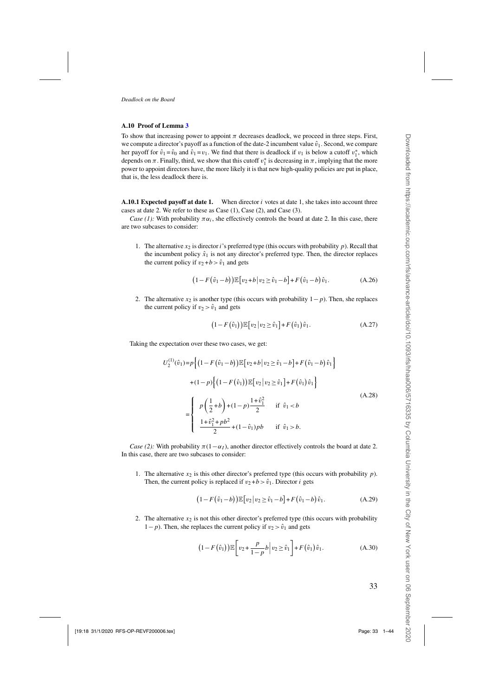### **A.10 Proof of Lemma [3](#page-15-0)**

To show that increasing power to appoint  $\pi$  decreases deadlock, we proceed in three steps. First, we compute a director's payoff as a function of the date-2 incumbent value  $\hat{v}_1$ . Second, we compare her payoff for  $\hat{v}_1 = \hat{v}_0$  and  $\hat{v}_1 = v_1$ . We find that there is deadlock if  $v_1$  is below a cutoff  $v_1^*$ , which depends on  $\pi$ . Finally, third, we show that this cutoff  $v_1^*$  is decreasing in  $\pi$ , implying that the more power to appoint directors have, the more likely it is that new high-quality policies are put in place, that is, the less deadlock there is.

**A.10.1 Expected payoff at date 1.** When director i votes at date 1, she takes into account three cases at date 2. We refer to these as Case (1), Case (2), and Case (3).

*Case (1):* With probability  $\pi \alpha_i$ , she effectively controls the board at date 2. In this case, there are two subcases to consider:

1. The alternative  $x_2$  is director i's preferred type (this occurs with probability p). Recall that the incumbent policy  $\hat{x}_1$  is not any director's preferred type. Then, the director replaces the current policy if  $v_2 + b > \hat{v}_1$  and gets

$$
(1 - F(\hat{v}_1 - b)) \mathbb{E}[v_2 + b | v_2 \ge \hat{v}_1 - b] + F(\hat{v}_1 - b)\hat{v}_1.
$$
 (A.26)

2. The alternative  $x_2$  is another type (this occurs with probability  $1-p$ ). Then, she replaces the current policy if  $v_2 > \hat{v}_1$  and gets

$$
(1 - F(\hat{v}_1)) \mathbb{E}[v_2 | v_2 \ge \hat{v}_1] + F(\hat{v}_1)\hat{v}_1.
$$
 (A.27)

Taking the expectation over these two cases, we get:

$$
U_2^{(1)}(\hat{v}_1) = p \Big\{ \Big(1 - F(\hat{v}_1 - b)\Big) \mathbb{E} \Big[ v_2 + b \Big| v_2 \ge \hat{v}_1 - b \Big] + F(\hat{v}_1 - b)\hat{v}_1 \Big\} + (1 - p) \Big\{ \Big(1 - F(\hat{v}_1)\Big) \mathbb{E} \Big[ v_2 \Big| v_2 \ge \hat{v}_1 \Big] + F(\hat{v}_1)\hat{v}_1 \Big\} = \begin{cases} p \Big( \frac{1}{2} + b \Big) + (1 - p) \frac{1 + \hat{v}_1^2}{2} & \text{if } \hat{v}_1 < b \\ \frac{1 + \hat{v}_1^2 + pb^2}{2} + (1 - \hat{v}_1) pb & \text{if } \hat{v}_1 > b. \end{cases}
$$
(A.28)

*Case (2):* With probability  $\pi(1-\alpha_1)$ , another director effectively controls the board at date 2. In this case, there are two subcases to consider:

1. The alternative  $x_2$  is this other director's preferred type (this occurs with probability  $p$ ). Then, the current policy is replaced if  $v_2 + b > \hat{v}_1$ . Director *i* gets

$$
(1 - F(\hat{v}_1 - b))\mathbb{E}[v_2|v_2 \ge \hat{v}_1 - b] + F(\hat{v}_1 - b)\hat{v}_1.
$$
 (A.29)

2. The alternative  $x_2$  is not this other director's preferred type (this occurs with probability  $1-p$ ). Then, she replaces the current policy if  $v_2 > \hat{v}_1$  and gets

$$
(1 - F(\hat{v}_1)) \mathbb{E}\bigg[v_2 + \frac{p}{1 - p}b \, \bigg| \, v_2 \ge \hat{v}_1\bigg] + F(\hat{v}_1)\,\hat{v}_1. \tag{A.30}
$$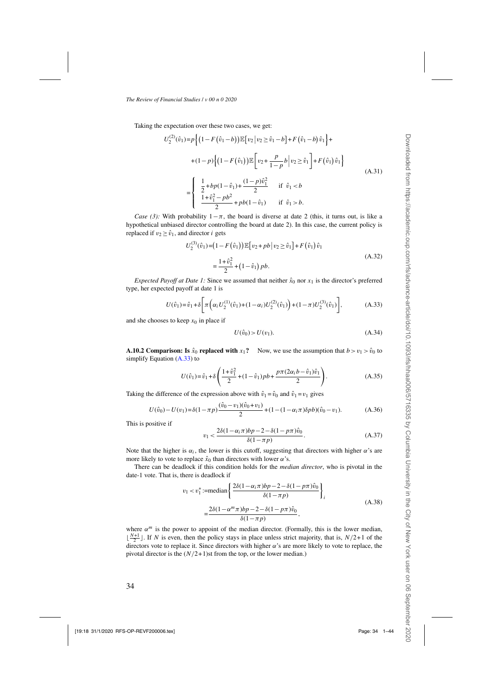<span id="page-33-0"></span>Taking the expectation over these two cases, we get:

$$
U_2^{(2)}(\hat{v}_1) = p \Big\{ \Big(1 - F(\hat{v}_1 - b)) \mathbb{E}\big[v_2 \, | \, v_2 \ge \hat{v}_1 - b\big] + F(\hat{v}_1 - b)\hat{v}_1 \Big\} +
$$
  
+ 
$$
(1 - p) \Big\{ \Big(1 - F(\hat{v}_1)\Big) \mathbb{E}\big[v_2 + \frac{p}{1 - p}b \, \Big| \, v_2 \ge \hat{v}_1 \big] + F(\hat{v}_1)\hat{v}_1 \Big\}
$$
  
= 
$$
\begin{cases} \frac{1}{2} + bp(1 - \hat{v}_1) + \frac{(1 - p)\hat{v}_1^2}{2} & \text{if } \hat{v}_1 < b \\ \frac{1 + \hat{v}_1^2 - pb^2}{2} + pb(1 - \hat{v}_1) & \text{if } \hat{v}_1 > b. \end{cases}
$$
(A.31)

*Case (3):* With probability  $1-\pi$ , the board is diverse at date 2 (this, it turns out, is like a hypothetical unbiased director controlling the board at date 2). In this case, the current policy is replaced if  $v_2 \geq \hat{v}_1$ , and director *i* gets

$$
U_2^{(3)}(\hat{v}_1) = (1 - F(\hat{v}_1)) \mathbb{E}[v_2 + pb | v_2 \ge \hat{v}_1] + F(\hat{v}_1) \hat{v}_1
$$
  
= 
$$
\frac{1 + \hat{v}_1^2}{2} + (1 - \hat{v}_1) pb.
$$
 (A.32)

*Expected Payoff at Date 1:* Since we assumed that neither  $\hat{x}_0$  nor  $x_1$  is the director's preferred type, her expected payoff at date 1 is

$$
U(\hat{v}_1) = \hat{v}_1 + \delta \bigg[ \pi \bigg( \alpha_i U_2^{(1)}(\hat{v}_1) + (1 - \alpha_i) U_2^{(2)}(\hat{v}_1) \bigg) + (1 - \pi) U_2^{(3)}(\hat{v}_1) \bigg], \tag{A.33}
$$

and she chooses to keep  $x_0$  in place if

$$
U(\hat{v}_0) > U(v_1). \tag{A.34}
$$

**A.10.2 Comparison: Is**  $\hat{x}_0$  **replaced with**  $x_1$ **? Now, we use the assumption that**  $b > v_1 > \hat{v}_0$  **to** simplify Equation (A.33) to

$$
U(\hat{v}_1) = \hat{v}_1 + \delta \left( \frac{1 + \hat{v}_1^2}{2} + (1 - \hat{v}_1) pb + \frac{p\pi (2\alpha_i b - \hat{v}_1) \hat{v}_1}{2} \right).
$$
 (A.35)

Taking the difference of the expression above with  $\hat{v}_1 = \hat{v}_0$  and  $\hat{v}_1 = v_1$  gives

$$
U(\hat{v}_0) - U(v_1) = \delta(1 - \pi p) \frac{(\hat{v}_0 - v_1)(\hat{v}_0 + v_1)}{2} + (1 - (1 - \alpha_i \pi) \delta p b)(\hat{v}_0 - v_1).
$$
 (A.36)

This is positive if

$$
v_1 < \frac{2\delta(1 - \alpha_i \pi)bp - 2 - \delta(1 - p\pi)\hat{v}_0}{\delta(1 - \pi p)}.
$$
 (A.37)

Note that the higher is  $\alpha_i$ , the lower is this cutoff, suggesting that directors with higher  $\alpha$ 's are more likely to vote to replace  $\hat{x}_0$  than directors with lower  $\alpha$ 's.

There can be deadlock if this condition holds for the *median director*, who is pivotal in the date-1 vote. That is, there is deadlock if

$$
v_1 < v_1^* := \text{median}\left\{\frac{2\delta(1 - \alpha_i \pi)bp - 2 - \delta(1 - p\pi)\hat{v}_0}{\delta(1 - \pi p)}\right\}_i
$$
  
= 
$$
\frac{2\delta(1 - \alpha^m \pi)bp - 2 - \delta(1 - p\pi)\hat{v}_0}{\delta(1 - \pi p)},
$$
 (A.38)

where  $\alpha^m$  is the power to appoint of the median director. (Formally, this is the lower median,  $\lfloor \frac{N+1}{2} \rfloor$ . If N is even, then the policy stays in place unless strict majority, that is,  $N/2+1$  of the directors vote to replace it. Since directors with higher  $\alpha$ 's are more likely to vote to replace, the pivotal director is the  $(N/2+1)$ st from the top, or the lower median.)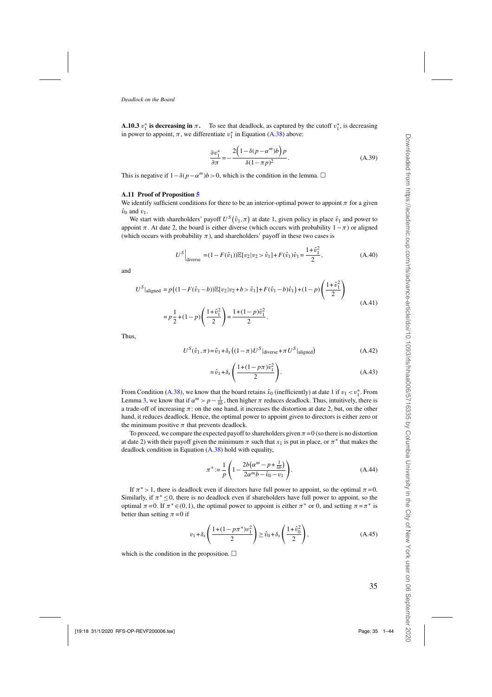<span id="page-34-0"></span>**A.10.3**  $v_1^*$  is decreasing in  $\pi$ . To see that deadlock, as captured by the cutoff  $v_1^*$ , is decreasing in power to appoint,  $\pi$ , we differentiate  $v_1^*$  in Equation [\(A.38\)](#page-33-0) above:

$$
\frac{\partial v_1^*}{\partial \pi} = -\frac{2\left(1 - \delta(p - \alpha^m)b\right)p}{\delta(1 - \pi p)^2}.
$$
\n(A.39)

This is negative if  $1-\delta(p-\alpha^m)b > 0$ , which is the condition in the lemma.  $\Box$ 

#### **A.11 Proof of Proposition [5](#page-16-0)**

We identify sufficient conditions for there to be an interior-optimal power to appoint  $\pi$  for a given  $\hat{v}_0$  and  $v_1$ .

We start with shareholders' payoff  $U^S(\hat{v}_1,\pi)$  at date 1, given policy in place  $\hat{v}_1$  and power to appoint  $\pi$ . At date 2, the board is either diverse (which occurs with probability  $1-\pi$ ) or aligned (which occurs with probability  $\pi$ ), and shareholders' payoff in these two cases is

$$
U^{S}\Big|_{\text{diverse}} = (1 - F(\hat{v}_1)) \mathbb{E}[v_2 | v_2 > \hat{v}_1] + F(\hat{v}_1)\hat{v}_1 = \frac{1 + \hat{v}_1^2}{2}, \tag{A.40}
$$

and

$$
U^{S}|\text{aligned} = p\left((1 - F(\hat{v}_1 - b))\mathbb{E}[v_2|v_2 + b > \hat{v}_1] + F(\hat{v}_1 - b)\hat{v}_1\right) + (1 - p)\left(\frac{1 + \hat{v}_1^2}{2}\right)
$$
  
=  $p\frac{1}{2} + (1 - p)\left(\frac{1 + \hat{v}_1^2}{2}\right) = \frac{1 + (1 - p)\hat{v}_1^2}{2}.$  (A.41)

Thus,

$$
U^{S}(\hat{v}_{1}, \pi) = \hat{v}_{1} + \delta_{s} \left( (1 - \pi) U^{S} \middle|_{\text{diverse}} + \pi U^{S} \middle|_{\text{aligned}} \right) \tag{A.42}
$$

$$
=\hat{v}_1 + \delta_s \left( \frac{1 + (1 - p\pi)\hat{v}_1^2}{2} \right). \tag{A.43}
$$

From Condition [\(A.38\)](#page-33-0), we know that the board retains  $\hat{x}_0$  (inefficiently) at date 1 if  $v_1 < v_1^*$ . From Lemma [3,](#page-15-0) we know that if  $\alpha^m > p - \frac{1}{\delta b}$ , then higher  $\pi$  reduces deadlock. Thus, intuitively, there is a trade-off of increasing  $\pi$ : on the one hand, it increases the distortion at date 2, but, on the other hand, it reduces deadlock. Hence, the optimal power to appoint given to directors is either zero or the minimum positive  $\pi$  that prevents deadlock.

To proceed, we compare the expected payoff to shareholders given  $\pi = 0$  (so there is no distortion at date 2) with their payoff given the minimum  $\pi$  such that  $x_1$  is put in place, or  $\pi^*$  that makes the deadlock condition in Equation [\(A.38\)](#page-33-0) hold with equality,

$$
\pi^* := \frac{1}{p} \left( 1 - \frac{2b(\alpha^m - p + \frac{1}{\delta b})}{2\alpha^m b - \hat{v}_0 - v_1} \right). \tag{A.44}
$$

If  $\pi^* > 1$ , there is deadlock even if directors have full power to appoint, so the optimal  $\pi = 0$ . Similarly, if  $\pi^* \leq 0$ , there is no deadlock even if shareholders have full power to appoint, so the optimal  $\pi = 0$ . If  $\pi^* \in (0, 1)$ , the optimal power to appoint is either  $\pi^*$  or 0, and setting  $\pi = \pi^*$  is better than setting  $\pi = 0$  if

$$
v_1 + \delta_s \left( \frac{1 + (1 - p\pi^*)v_1^2}{2} \right) \ge \hat{v}_0 + \delta_s \left( \frac{1 + \hat{v}_0^2}{2} \right),\tag{A.45}
$$

which is the condition in the proposition.  $\Box$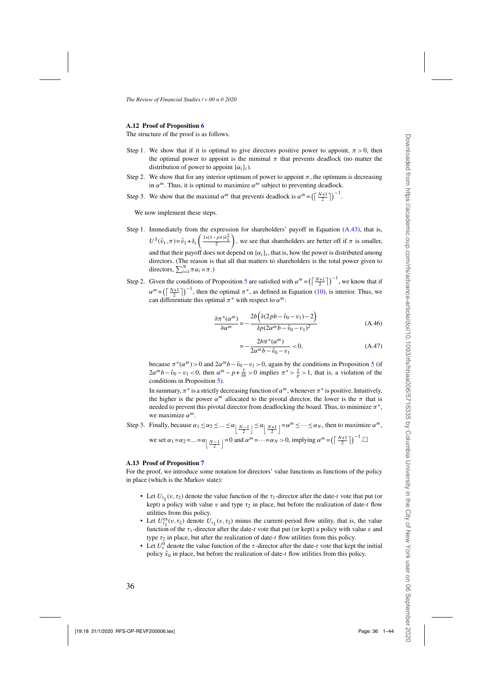### **A.12 Proof of Proposition [6](#page-17-0)**

The structure of the proof is as follows.

- Step 1. We show that if it is optimal to give directors positive power to appoint,  $\pi > 0$ , then the optimal power to appoint is the minimal  $\pi$  that prevents deadlock (no matter the distribution of power to appoint  $\{\alpha_i\}_i$ ).
- Step 2. We show that for any interior optimum of power to appoint  $\pi$ , the optimum is decreasing in  $\alpha^m$ . Thus, it is optimal to maximize  $\alpha^m$  subject to preventing deadlock.
- Step 3. We show that the maximal  $\alpha^m$  that prevents deadlock is  $\alpha^m = \left(\left\lceil \frac{N+1}{2} \right\rceil\right)^{-1}$ .

We now implement these steps.

- Step 1. Immediately from the expression for shareholders' payoff in Equation [\(A.43\)](#page-34-0), that is,  $U^{S}(\hat{v}_1,\pi) = \hat{v}_1 + \delta_s \left( \frac{1+(1-p\pi)\hat{v}_1^2}{2} \right)$ , we see that shareholders are better off if  $\pi$  is smaller, and that their payoff does not depend on  $\{\alpha_i\}_i$ , that is, how the power is distributed among directors. (The reason is that all that matters to shareholders is the total power given to directors,  $\sum_{i=1}^{N} \pi \alpha_i = \pi$ .)
- Step 2. Given the conditions of Proposition [5](#page-16-0) are satisfied with  $\alpha^m = \left(\frac{N+1}{2}\right)^{-1}$ , we know that if  $\alpha^m = \left(\left\lceil \frac{N+1}{2} \right\rceil\right)^{-1}$ , then the optimal  $\pi^*$ , as defined in Equation [\(10\)](#page-16-0), is interior. Thus, we can differentiate this optimal  $\pi^*$  with respect to  $\alpha^m$ :

$$
\frac{\partial \pi^*(\alpha^m)}{\partial \alpha^m} = -\frac{2b\left(\delta(2pb - \hat{v}_0 - v_1) - 2\right)}{\delta p (2\alpha^m b - \hat{v}_0 - v_1)^2}
$$
(A.46)

$$
=-\frac{2b\pi^*(\alpha^m)}{2\alpha^m b - \hat{v}_0 - v_1} < 0,
$$
\n(A.47)

because  $\pi^*(\alpha^m) > 0$  and  $2\alpha^m b - \hat{v}_0 - v_1 > 0$ , again by the conditions in Proposition [5](#page-16-0) (if  $2\alpha^m b - \hat{v}_0 - v_1 < 0$ , then  $\alpha^m - p + \frac{1}{\delta b} > 0$  implies  $\pi^* > \frac{1}{p} > 1$ , that is, a violation of the conditions in Proposition [5\)](#page-16-0).

In summary,  $\pi^*$  is a strictly decreasing function of  $\alpha^m$ , whenever  $\pi^*$  is positive. Intuitively, the higher is the power  $\alpha^m$  allocated to the pivotal director, the lower is the  $\pi$  that is needed to prevent this pivotal director from deadlocking the board. Thus, to minimize  $\pi^*$ , we maximize  $\alpha^m$ .

Step 3. Finally, because  $\alpha_1 \leq \alpha_2 \leq ... \leq \alpha_{\lfloor \frac{N-1}{2} \rfloor} \leq \alpha_{\lfloor \frac{N+1}{2} \rfloor} = \alpha^m \leq ... \leq \alpha_N$ , then to maximize  $\alpha^m$ , we set  $\alpha_1 = \alpha_2 = ... = \alpha \left[ \frac{N-1}{2} \right] = 0$  and  $\alpha^m = ... = \alpha_N > 0$ , implying  $\alpha^m = \left( \left\lceil \frac{N+1}{2} \right\rceil \right)^{-1}$ .

#### **A.13 Proof of Proposition [7](#page-20-0)**

For the proof, we introduce some notation for directors' value functions as functions of the policy in place (which is the Markov state):

- Let  $U_{\tau_1}(v,\tau_2)$  denote the value function of the  $\tau_1$ -director after the date-t vote that put (or kept) a policy with value v and type  $\tau_2$  in place, but before the realization of date-t flow utilities from this policy.
- Let  $U_{\tau_1}^{\text{ex}}(v,\tau_2)$  denote  $U_{\tau_1}(v,\tau_2)$  minus the current-period flow utility, that is, the value function of the  $\tau_1$ -director after the date-t vote that put (or kept) a policy with value v and type  $\tau_2$  in place, but after the realization of date-t flow utilities from this policy.
- Let  $U_{\tau}^{0}$  denote the value function of the  $\tau$ -director after the date-t vote that kept the initial policy  $\hat{x}_0$  in place, but before the realization of date-t flow utilities from this policy.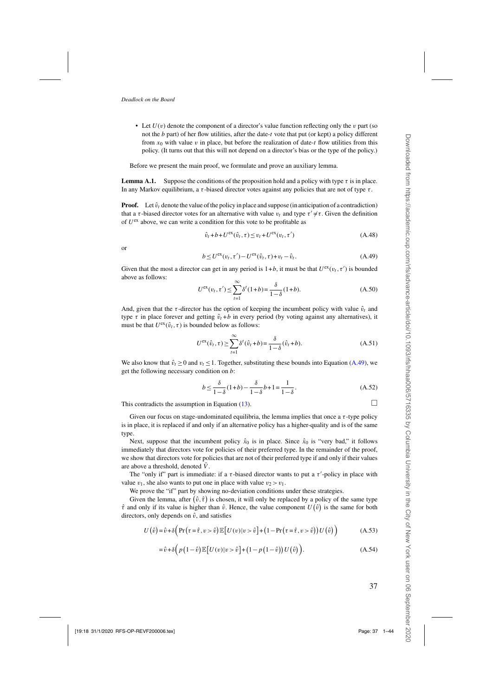<span id="page-36-0"></span>• Let  $U(v)$  denote the component of a director's value function reflecting only the v part (so not the  $b$  part) of her flow utilities, after the date-t vote that put (or kept) a policy different from  $x_0$  with value v in place, but before the realization of date-t flow utilities from this policy. (It turns out that this will not depend on a director's bias or the type of the policy.)

Before we present the main proof, we formulate and prove an auxiliary lemma.

**Lemma A.1.** Suppose the conditions of the proposition hold and a policy with type  $\tau$  is in place. In any Markov equilibrium, a  $\tau$ -biased director votes against any policies that are not of type  $\tau$ .

**Proof.** Let  $\hat{v}_t$  denote the value of the policy in place and suppose (in anticipation of a contradiction) that a  $\tau$ -biased director votes for an alternative with value  $v_t$  and type  $\tau' \neq \tau$ . Given the definition of  $U^{\text{ex}}$  above, we can write a condition for this vote to be profitable as

$$
\hat{v}_t + b + U^{\text{ex}}(\hat{v}_t, \tau) \le v_t + U^{\text{ex}}(v_t, \tau')
$$
\n(A.48)

or

$$
b \le U^{\text{ex}}(v_t, \tau') - U^{\text{ex}}(\hat{v}_t, \tau) + v_t - \hat{v}_t.
$$
\n(A.49)

Given that the most a director can get in any period is  $1+b$ , it must be that  $U^{\text{ex}}(v_t, \tau')$  is bounded above as follows:

$$
U^{\text{ex}}(v_t, \tau') \le \sum_{t=1}^{\infty} \delta^t (1+b) = \frac{\delta}{1-\delta} (1+b). \tag{A.50}
$$

And, given that the  $\tau$ -director has the option of keeping the incumbent policy with value  $\hat{v}_t$  and type  $\tau$  in place forever and getting  $\hat{v}_t + b$  in every period (by voting against any alternatives), it must be that  $U^{\text{ex}}(\hat{v}_t, \tau)$  is bounded below as follows:

$$
U^{\text{ex}}(\hat{v}_t, \tau) \ge \sum_{t=1}^{\infty} \delta^t(\hat{v}_t + b) = \frac{\delta}{1 - \delta}(\hat{v}_t + b). \tag{A.51}
$$

We also know that  $\hat{v}_t \ge 0$  and  $v_t \le 1$ . Together, substituting these bounds into Equation (A.49), we get the following necessary condition on b:

$$
b \le \frac{\delta}{1-\delta}(1+b) - \frac{\delta}{1-\delta}b + 1 = \frac{1}{1-\delta}.
$$
 (A.52)

This contradicts the assumption in Equation [\(13\)](#page-20-0).  $\Box$ 

Given our focus on stage-undominated equilibria, the lemma implies that once a  $\tau$ -type policy is in place, it is replaced if and only if an alternative policy has a higher-quality and is of the same type.

Next, suppose that the incumbent policy  $\hat{x}_0$  is in place. Since  $\hat{x}_0$  is "very bad," it follows immediately that directors vote for policies of their preferred type. In the remainder of the proof, we show that directors vote for policies that are not of their preferred type if and only if their values are above a threshold, denoted  $\overline{V}$ .

The "only if" part is immediate: if a  $\tau$ -biased director wants to put a  $\tau'$ -policy in place with value  $v_1$ , she also wants to put one in place with value  $v_2 > v_1$ .

We prove the "if" part by showing no-deviation conditions under these strategies.

Given the lemma, after  $(\hat{v}, \hat{\tau})$  is chosen, it will only be replaced by a policy of the same type  $\hat{\tau}$  and only if its value is higher than  $\hat{v}$ . Hence, the value component  $U(\hat{v})$  is the same for both directors, only depends on  $\hat{v}$ , and satisfies

$$
U(\hat{v}) = \hat{v} + \delta \Big( \Pr(\tau = \hat{\tau}, v > \hat{v}) \mathbb{E} \big[ U(v) | v > \hat{v} \big] + \big( 1 - \Pr(\tau = \hat{\tau}, v > \hat{v}) \big) U(\hat{v}) \Big) \tag{A.53}
$$

$$
= \hat{v} + \delta \left( p(1-\hat{v}) \mathbb{E} \left[ U(v) | v > \hat{v} \right] + (1-p(1-\hat{v})) U(\hat{v}) \right). \tag{A.54}
$$

37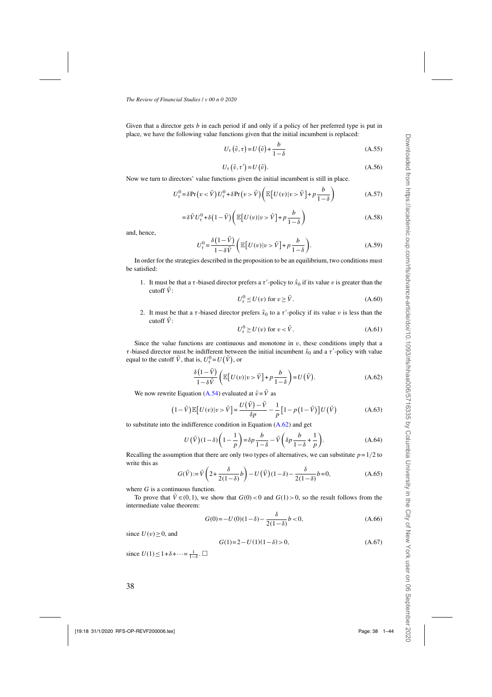Given that a director gets  $b$  in each period if and only if a policy of her preferred type is put in place, we have the following value functions given that the initial incumbent is replaced:

$$
U_{\tau}(\hat{v}, \tau) = U(\hat{v}) + \frac{b}{1 - \delta} \tag{A.55}
$$

$$
U_{\tau}(\hat{v}, \tau') = U(\hat{v}).
$$
\n(A.56)

Now we turn to directors' value functions given the initial incumbent is still in place.

$$
U_{\tau}^{0} = \delta \Pr(v < \bar{V}) U_{\tau}^{0} + \delta \Pr(v > \bar{V}) \left( \mathbb{E} \left[ U(v) | v > \bar{V} \right] + p \frac{b}{1 - \delta} \right) \tag{A.57}
$$

$$
= \delta \bar{V} U_{\tau}^{0} + \delta \left( 1 - \bar{V} \right) \left( \mathbb{E} \left[ U(v) | v > \bar{V} \right] + p \frac{b}{1 - \delta} \right)
$$
 (A.58)

and, hence,

$$
U_{\tau}^{0} = \frac{\delta(1-\bar{V})}{1-\delta\bar{V}} \left( \mathbb{E}\left[U(v)|v > \bar{V}\right] + p\frac{b}{1-\delta} \right). \tag{A.59}
$$

In order for the strategies described in the proposition to be an equilibrium, two conditions must be satisfied:

1. It must be that a  $\tau$ -biased director prefers a  $\tau'$ -policy to  $\hat{x}_0$  if its value v is greater than the cutoff  $\overline{V}$ :

$$
U_{\tau}^{0} \le U(v) \text{ for } v \ge \bar{V}. \tag{A.60}
$$

2. It must be that a  $\tau$ -biased director prefers  $\hat{x}_0$  to a  $\tau'$ -policy if its value v is less than the cutoff  $\bar{V}$ :

$$
U_{\tau}^{0} \ge U(v) \text{ for } v < \bar{V}.
$$
 (A.61)

Since the value functions are continuous and monotone in  $v$ , these conditions imply that a τ-biased director must be indifferent between the initial incumbent  $\hat{x}_0$  and a τ'-policy with value equal to the cutoff  $\bar{V}$ , that is,  $U_{\tau}^{0} = U(\bar{V})$ , or

$$
\frac{\delta(1-\bar{V})}{1-\delta\bar{V}}\left(\mathbb{E}\left[U(v)|v>\bar{V}\right]+p\frac{b}{1-\delta}\right)=U(\bar{V}).\tag{A.62}
$$

We now rewrite Equation [\(A.54\)](#page-36-0) evaluated at  $\hat{v} = \bar{V}$  as

$$
(1-\bar{V})\mathbb{E}\left[U(v)|v>\bar{V}\right] = \frac{U(\bar{V})-\bar{V}}{\delta p} - \frac{1}{p}\left[1-p\left(1-\bar{V}\right)\right]U(\bar{V})\tag{A.63}
$$

to substitute into the indifference condition in Equation  $(A.62)$  and get

$$
U(\bar{V})(1-\delta)\left(1-\frac{1}{p}\right) = \delta p \frac{b}{1-\delta} - \bar{V}\left(\delta p \frac{b}{1-\delta} + \frac{1}{p}\right).
$$
 (A.64)

Recalling the assumption that there are only two types of alternatives, we can substitute  $p=1/2$  to write this as

$$
G(\bar{V}) := \bar{V}\left(2 + \frac{\delta}{2(1-\delta)}b\right) - U(\bar{V})(1-\delta) - \frac{\delta}{2(1-\delta)}b = 0,
$$
\n(A.65)

where  $G$  is a continuous function.

To prove that  $\overline{V} \in (0,1)$ , we show that  $G(0) < 0$  and  $G(1) > 0$ , so the result follows from the intermediate value theorem:

$$
G(0) = -U(0)(1 - \delta) - \frac{\delta}{2(1 - \delta)}b < 0,\tag{A.66}
$$

since  $U(v) \geq 0$ , and

$$
G(1)=2-U(1)(1-\delta) > 0, \tag{A.67}
$$

since  $U(1) \leq 1 + \delta + \cdots = \frac{1}{1-\delta}$ .  $\Box$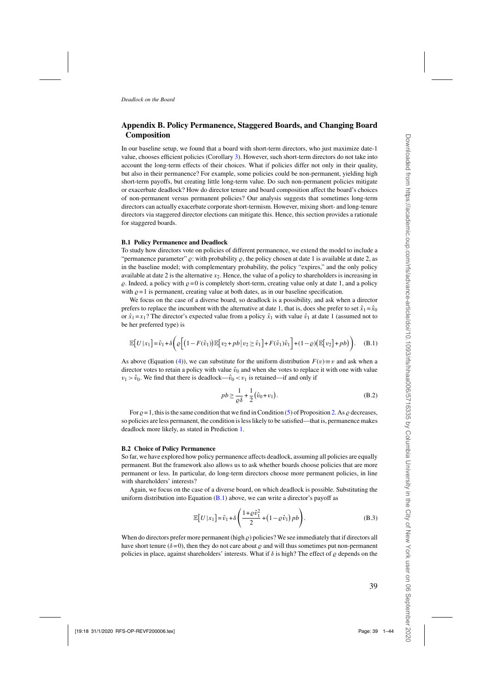# **Appendix B. Policy Permanence, Staggered Boards, and Changing Board Composition**

In our baseline setup, we found that a board with short-term directors, who just maximize date-1 value, chooses efficient policies (Corollary [3\)](#page-10-0). However, such short-term directors do not take into account the long-term effects of their choices. What if policies differ not only in their quality, but also in their permanence? For example, some policies could be non-permanent, yielding high short-term payoffs, but creating little long-term value. Do such non-permanent policies mitigate or exacerbate deadlock? How do director tenure and board composition affect the board's choices of non-permanent versus permanent policies? Our analysis suggests that sometimes long-term directors can actually exacerbate corporate short-termism. However, mixing short- and long-tenure directors via staggered director elections can mitigate this. Hence, this section provides a rationale for staggered boards.

#### **B.1 Policy Permanence and Deadlock**

To study how directors vote on policies of different permanence, we extend the model to include a "permanence parameter"  $\rho$ : with probability  $\rho$ , the policy chosen at date 1 is available at date 2, as in the baseline model; with complementary probability, the policy "expires," and the only policy available at date 2 is the alternative  $x_2$ . Hence, the value of a policy to shareholders is increasing in  $\rho$ . Indeed, a policy with  $\rho = 0$  is completely short-term, creating value only at date 1, and a policy with  $\rho = 1$  is permanent, creating value at both dates, as in our baseline specification.

We focus on the case of a diverse board, so deadlock is a possibility, and ask when a director prefers to replace the incumbent with the alternative at date 1, that is, does she prefer to set  $\hat{x}_1 = \hat{x}_0$ or  $\hat{x}_1 = x_1$ ? The director's expected value from a policy  $\hat{x}_1$  with value  $\hat{v}_1$  at date 1 (assumed not to be her preferred type) is

$$
\mathbb{E}\big[U\,|\,x_1\big] = \hat{v}_1 + \delta\bigg(\varrho\Big[\big(1 - F(\hat{v}_1)\big)\mathbb{E}\big[\,v_2 + pb\,\big|\,v_2 \ge \hat{v}_1\big]\big] + F(\hat{v}_1)\hat{v}_1\bigg] + (1 - \varrho)\big(\mathbb{E}\big[\,v_2\big] + pb\big)\bigg). \tag{B.1}
$$

As above (Equation [\(4\)](#page-9-0)), we can substitute for the uniform distribution  $F(v) \equiv v$  and ask when a director votes to retain a policy with value  $\hat{v}_0$  and when she votes to replace it with one with value  $v_1 > \hat{v}_0$ . We find that there is deadlock— $\hat{v}_0 < v_1$  is retained—if and only if

$$
pb \geq \frac{1}{\varrho \delta} + \frac{1}{2} (\hat{v}_0 + v_1). \tag{B.2}
$$

For  $\rho = 1$ , this is the same condition that we find in Condition [\(5\)](#page-9-0) of Proposition [2.](#page-9-0) As  $\rho$  decreases, so policies are less permanent, the condition is less likely to be satisfied—that is, permanence makes deadlock more likely, as stated in Prediction [1.](#page-22-0)

#### **B.2 Choice of Policy Permanence**

So far, we have explored how policy permanence affects deadlock, assuming all policies are equally permanent. But the framework also allows us to ask whether boards choose policies that are more permanent or less. In particular, do long-term directors choose more permanent policies, in line with shareholders' interests?

Again, we focus on the case of a diverse board, on which deadlock is possible. Substituting the uniform distribution into Equation  $(B.1)$  above, we can write a director's payoff as

$$
\mathbb{E}\left[U|x_1\right] = \hat{v}_1 + \delta \left(\frac{1+\varrho \hat{v}_1^2}{2} + \left(1-\varrho \hat{v}_1\right) p b\right). \tag{B.3}
$$

When do directors prefer more permanent (high  $\rho$ ) policies? We see immediately that if directors all have short tenure ( $\delta = 0$ ), then they do not care about  $\varrho$  and will thus sometimes put non-permanent policies in place, against shareholders' interests. What if  $\delta$  is high? The effect of  $\rho$  depends on the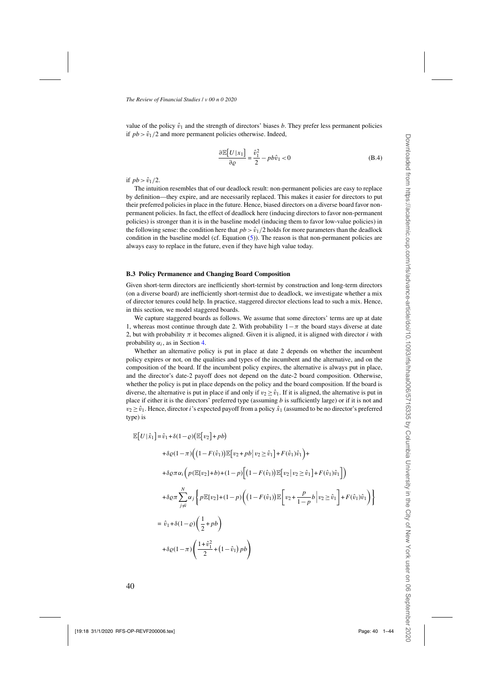value of the policy  $\hat{v}_1$  and the strength of directors' biases b. They prefer less permanent policies if  $pb > \hat{v}_1/2$  and more permanent policies otherwise. Indeed,

$$
\frac{\partial \mathbb{E}[U|x_1]}{\partial \varrho} = \frac{\hat{v}_1^2}{2} - pb\hat{v}_1 < 0
$$
 (B.4)

if  $pb > \hat{v}_1/2$ .

The intuition resembles that of our deadlock result: non-permanent policies are easy to replace by definition—they expire, and are necessarily replaced. This makes it easier for directors to put their preferred policies in place in the future. Hence, biased directors on a diverse board favor nonpermanent policies. In fact, the effect of deadlock here (inducing directors to favor non-permanent policies) is stronger than it is in the baseline model (inducing them to favor low-value policies) in the following sense: the condition here that  $pb > \hat{v}_1/2$  holds for more parameters than the deadlock condition in the baseline model (cf. Equation  $(5)$ ). The reason is that non-permanent policies are always easy to replace in the future, even if they have high value today.

#### **B.3 Policy Permanence and Changing Board Composition**

Given short-term directors are inefficiently short-termist by construction and long-term directors (on a diverse board) are inefficiently short-termist due to deadlock, we investigate whether a mix of director tenures could help. In practice, staggered director elections lead to such a mix. Hence, in this section, we model staggered boards.

We capture staggered boards as follows. We assume that some directors' terms are up at date 1, whereas most continue through date 2. With probability  $1-\pi$  the board stays diverse at date 2, but with probability  $\pi$  it becomes aligned. Given it is aligned, it is aligned with director i with probability  $\alpha_i$ , as in Section [4.](#page-14-0)

Whether an alternative policy is put in place at date 2 depends on whether the incumbent policy expires or not, on the qualities and types of the incumbent and the alternative, and on the composition of the board. If the incumbent policy expires, the alternative is always put in place, and the director's date-2 payoff does not depend on the date-2 board composition. Otherwise, whether the policy is put in place depends on the policy and the board composition. If the board is diverse, the alternative is put in place if and only if  $v_2 \geq \hat{v}_1$ . If it is aligned, the alternative is put in place if either it is the directors' preferred type (assuming  $b$  is sufficiently large) or if it is not and  $v_2 \geq \hat{v}_1$ . Hence, director *i*'s expected payoff from a policy  $\hat{x}_1$  (assumed to be no director's preferred type) is

$$
\mathbb{E}[U|\hat{x}_1] = \hat{v}_1 + \delta(1-\varrho)(\mathbb{E}[v_2] + pb)
$$
  
+  $\delta \varrho(1-\pi)\Big((1-F(\hat{v}_1))\mathbb{E}[v_2 + pb | v_2 \ge \hat{v}_1] + F(\hat{v}_1)\hat{v}_1\Big) +$   
+  $\delta \varrho\pi \alpha_i \Big(p(\mathbb{E}[v_2] + b) + (1-p)\Big[(1-F(\hat{v}_1))\mathbb{E}[v_2 | v_2 \ge \hat{v}_1] + F(\hat{v}_1)\hat{v}_1\Big]\Big)$   
+  $\delta \varrho\pi \sum_{j\ne i}^{N} \alpha_j \Big\{p\mathbb{E}[v_2] + (1-p)\Big((1-F(\hat{v}_1))\mathbb{E}\Big[v_2 + \frac{p}{1-p}b \Big| v_2 \ge \hat{v}_1\Big] + F(\hat{v}_1)\hat{v}_1\Big)\Big\}$   
=  $\hat{v}_1 + \delta(1-\varrho)\Big(\frac{1}{2} + pb\Big)$   
+  $\delta \varrho(1-\pi)\Big(\frac{1+\hat{v}_1^2}{2} + (1-\hat{v}_1)pb\Big)$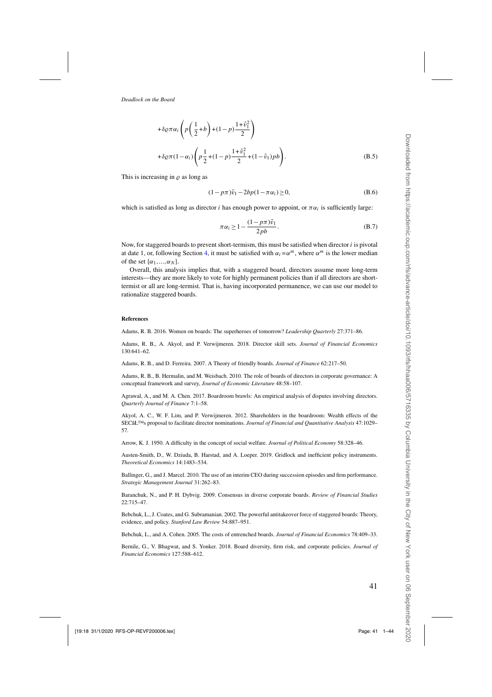<span id="page-40-0"></span>
$$
+ \delta \varrho \pi \alpha_i \left( p \left( \frac{1}{2} + b \right) + (1 - p) \frac{1 + \hat{v}_1^2}{2} \right)
$$
  
+ 
$$
\delta \varrho \pi (1 - \alpha_i) \left( p \frac{1}{2} + (1 - p) \frac{1 + \hat{v}_1^2}{2} + (1 - \hat{v}_1) p b \right).
$$
 (B.5)

This is increasing in  $\rho$  as long as

$$
(1 - p\pi)\hat{v}_1 - 2bp(1 - \pi\alpha_i) \ge 0,
$$
 (B.6)

which is satisfied as long as director i has enough power to appoint, or  $\pi \alpha_i$  is sufficiently large:

$$
\pi \alpha_i \ge 1 - \frac{(1 - p\pi)\hat{v}_1}{2pb}.
$$
\n(B.7)

Now, for staggered boards to prevent short-termism, this must be satisfied when director  $i$  is pivotal at date 1, or, following Section [4,](#page-14-0) it must be satisfied with  $\alpha_i = \alpha^m$ , where  $\alpha^m$  is the lower median of the set  $\{\alpha_1, ..., \alpha_N\}$ .

Overall, this analysis implies that, with a staggered board, directors assume more long-term interests—they are more likely to vote for highly permanent policies than if all directors are shorttermist or all are long-termist. That is, having incorporated permanence, we can use our model to rationalize staggered boards.

#### **References**

Adams, R. B. 2016. Women on boards: The superheroes of tomorrow? *Leadership Quarterly* 27:371–86.

Adams, R. B., A. Akyol, and P. Verwijmeren. 2018. Director skill sets. *Journal of Financial Economics* 130:641–62.

Adams, R. B., and D. Ferreira. 2007. A Theory of friendly boards. *Journal of Finance* 62:217–50.

Adams, R. B., B. Hermalin, and M. Weisbach. 2010. The role of boards of directors in corporate governance: A conceptual framework and survey, *Journal of Economic Literature* 48:58–107.

Agrawal, A., and M. A. Chen. 2017. Boardroom brawls: An empirical analysis of disputes involving directors. *Quarterly Journal of Finance* 7:1–58.

Akyol, A. C., W. F. Lim, and P. Verwijmeren. 2012. Shareholders in the boardroom: Wealth effects of the SECâŁ<sup>TM</sup>s proposal to facilitate director nominations. *Journal of Financial and Quantitative Analysis* 47:1029– 57.

Arrow, K. J. 1950. A difficulty in the concept of social welfare. *Journal of Political Economy* 58:328–46.

Austen-Smith, D., W. Dziuda, B. Harstad, and A. Loeper. 2019. Gridlock and inefficient policy instruments. *Theoretical Economics* 14:1483–534.

Ballinger, G., and J. Marcel. 2010. The use of an interim CEO during succession episodes and firm performance. *Strategic Management Journal* 31:262–83.

Baranchuk, N., and P. H. Dybvig. 2009. Consensus in diverse corporate boards. *Review of Financial Studies* 22:715–47.

Bebchuk, L., J. Coates, and G. Subramanian. 2002. The powerful antitakeover force of staggered boards: Theory, evidence, and policy. *Stanford Law Review* 54:887–951.

Bebchuk, L., and A. Cohen. 2005. The costs of entrenched boards. *Journal of Financial Economics* 78:409–33.

Bernile, G., V. Bhagwat, and S. Yonker. 2018. Board diversity, firm risk, and corporate policies. *Journal of Financial Economics* 127:588–612.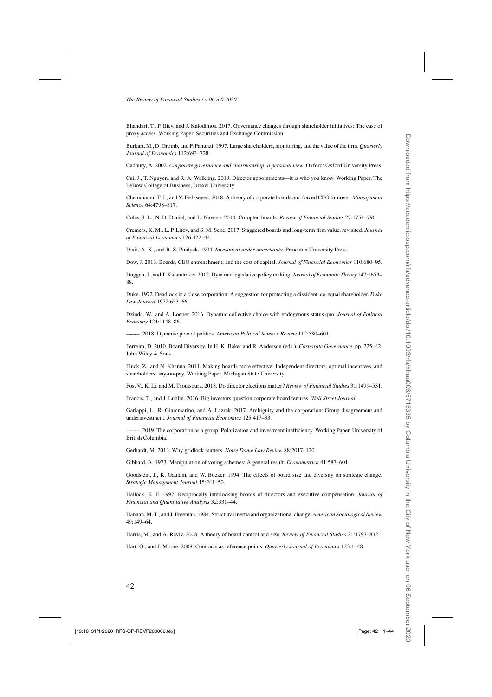<span id="page-41-0"></span>Bhandari, T., P. Iliev, and J. Kalodimos. 2017. Governance changes through shareholder initiatives: The case of proxy access. Working Paper, Securities and Exchange Commission.

Burkart, M., D. Gromb, and F. Panunzi. 1997. Large shareholders, monitoring, and the value of the firm. *Quarterly Journal of Economics* 112:693–728.

Cadbury, A. 2002. *Corporate governance and chairmanship: a personal view*. Oxford: Oxford University Press.

Cai, J., T. Nguyen, and R. A. Walkling. 2019. Director appointments—it is who you know. Working Paper, The LeBow College of Business, Drexel University.

Chemmanur, T. J., and V. Fedaseyeu. 2018. A theory of corporate boards and forced CEO turnover. *Management Science* 64:4798–817.

Coles, J. L., N. D. Daniel, and L. Naveen. 2014. Co-opted boards. *Review of Financial Studies* 27:1751–796.

Cremers, K. M., L. P. Litov, and S. M. Sepe. 2017. Staggered boards and long-term firm value, revisited. *Journal of Financial Economics* 126:422–44.

Dixit, A. K., and R. S. Pindyck. 1994. *Investment under uncertainty*. Princeton University Press.

Dow, J. 2013. Boards, CEO entrenchment, and the cost of capital. *Journal of Financial Economics* 110:680–95.

Duggan, J., and T. Kalandrakis. 2012. Dynamic legislative policy making. *Journal of Economic Theory* 147:1653– 88.

Duke. 1972. Deadlock in a close corporation: A suggestion for protecting a dissident, co-equal shareholder. *Duke Law Journal* 1972:653–66.

Dziuda, W., and A. Loeper. 2016. Dynamic collective choice with endogenous status quo. *Journal of Political Economy* 124:1148–86.

———. 2018. Dynamic pivotal politics. *American Political Science Review* 112:580–601.

Ferreira, D. 2010. Board Diversity. In H. K. Baker and R. Anderson (eds.), *Corporate Governance*, pp. 225–42. John Wiley & Sons.

Fluck, Z., and N. Khanna. 2011. Making boards more effective: Independent directors, optimal incentives, and shareholders' say-on-pay. Working Paper, Michigan State University.

Fos, V., K. Li, and M. Tsoutsoura. 2018. Do director elections matter? *Review of Financial Studies* 31:1499–531.

Francis, T., and J. Lublin. 2016. Big investors question corporate board tenures. *Wall Street Journal*

Garlappi, L., R. Giammarino, and A. Lazrak. 2017. Ambiguity and the corporation: Group disagreement and underinvestment. *Journal of Financial Economics* 125:417–33.

———. 2019. The corporation as a group: Polarization and investment inefficiency. Working Paper, University of British Columbia.

Gerhardt, M. 2013. Why gridlock matters. *Notre Dame Law Review* 88:2017–120.

Gibbard, A. 1973. Manipulation of voting schemes: A general result. *Econometrica* 41:587–601.

Goodstein, J., K. Gautam, and W. Boeker. 1994. The effects of board size and diversity on strategic change. *Strategic Management Journal* 15:241–50.

Hallock, K. F. 1997. Reciprocally interlocking boards of directors and executive compensation. *Journal of Financial and Quantitative Analysis* 32:331–44.

Hannan, M. T., and J. Freeman. 1984. Structural inertia and organizational change. *American Sociological Review* 49:149–64.

Harris, M., and A. Raviv. 2008. A theory of board control and size. *Review of Financial Studies* 21:1797–832.

Hart, O., and J. Moore. 2008. Contracts as reference points. *Quarterly Journal of Economics* 123:1–48.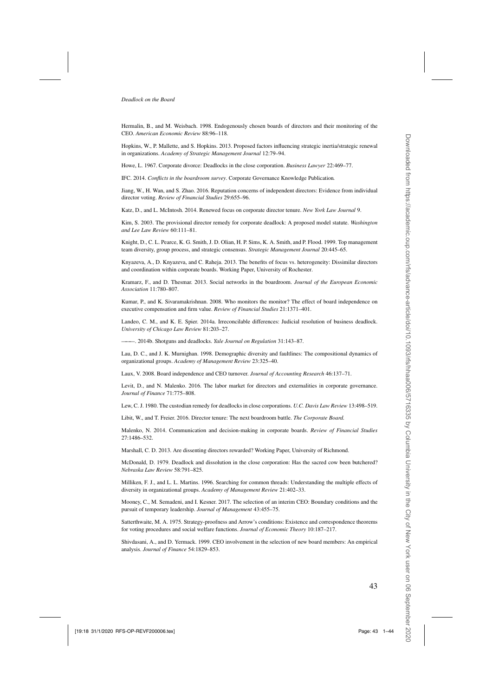<span id="page-42-0"></span>Hermalin, B., and M. Weisbach. 1998. Endogenously chosen boards of directors and their monitoring of the CEO. *American Economic Review* 88:96–118.

Hopkins, W., P. Mallette, and S. Hopkins. 2013. Proposed factors influencing strategic inertia/strategic renewal in organizations. *Academy of Strategic Management Journal* 12:79–94.

Howe, L. 1967. Corporate divorce: Deadlocks in the close corporation. *Business Lawyer* 22:469–77.

IFC. 2014. *Conflicts in the boardroom survey*. Corporate Governance Knowledge Publication.

Jiang, W., H. Wan, and S. Zhao. 2016. Reputation concerns of independent directors: Evidence from individual director voting. *Review of Financial Studies* 29:655–96.

Katz, D., and L. McIntosh. 2014. Renewed focus on corporate director tenure. *New York Law Journal* 9.

Kim, S. 2003. The provisional director remedy for corporate deadlock: A proposed model statute. *Washington and Lee Law Review* 60:111–81.

Knight, D., C. L. Pearce, K. G. Smith, J. D. Olian, H. P. Sims, K. A. Smith, and P. Flood. 1999. Top management team diversity, group process, and strategic consensus. *Strategic Management Journal* 20:445–65.

Knyazeva, A., D. Knyazeva, and C. Raheja. 2013. The benefits of focus vs. heterogeneity: Dissimilar directors and coordination within corporate boards. Working Paper, University of Rochester.

Kramarz, F., and D. Thesmar. 2013. Social networks in the boardroom. *Journal of the European Economic Association* 11:780–807.

Kumar, P., and K. Sivaramakrishnan. 2008. Who monitors the monitor? The effect of board independence on executive compensation and firm value. *Review of Financial Studies* 21:1371–401.

Landeo, C. M., and K. E. Spier. 2014a. Irreconcilable differences: Judicial resolution of business deadlock. *University of Chicago Law Review* 81:203–27.

———. 2014b. Shotguns and deadlocks. *Yale Journal on Regulation* 31:143–87.

Lau, D. C., and J. K. Murnighan. 1998. Demographic diversity and faultlines: The compositional dynamics of organizational groups. *Academy of Management Review* 23:325–40.

Laux, V. 2008. Board independence and CEO turnover. *Journal of Accounting Research* 46:137–71.

Levit, D., and N. Malenko. 2016. The labor market for directors and externalities in corporate governance. *Journal of Finance* 71:775–808.

Lew, C. J. 1980. The custodian remedy for deadlocks in close corporations. *U.C. Davis Law Review* 13:498–519.

Libit, W., and T. Freier. 2016. Director tenure: The next boardroom battle. *The Corporate Board.*

Malenko, N. 2014. Communication and decision-making in corporate boards. *Review of Financial Studies* 27:1486–532.

Marshall, C. D. 2013. Are dissenting directors rewarded? Working Paper, University of Richmond.

McDonald, D. 1979. Deadlock and dissolution in the close corporation: Has the sacred cow been butchered? *Nebraska Law Review* 58:791–825.

Milliken, F. J., and L. L. Martins. 1996. Searching for common threads: Understanding the multiple effects of diversity in organizational groups. *Academy of Management Review* 21:402–33.

Mooney, C., M. Semadeni, and I. Kesner. 2017. The selection of an interim CEO: Boundary conditions and the pursuit of temporary leadership. *Journal of Management* 43:455–75.

Satterthwaite, M. A. 1975. Strategy-proofness and Arrow's conditions: Existence and correspondence theorems for voting procedures and social welfare functions. *Journal of Economic Theory* 10:187–217.

Shivdasani, A., and D. Yermack. 1999. CEO involvement in the selection of new board members: An empirical analysis. *Journal of Finance* 54:1829–853.